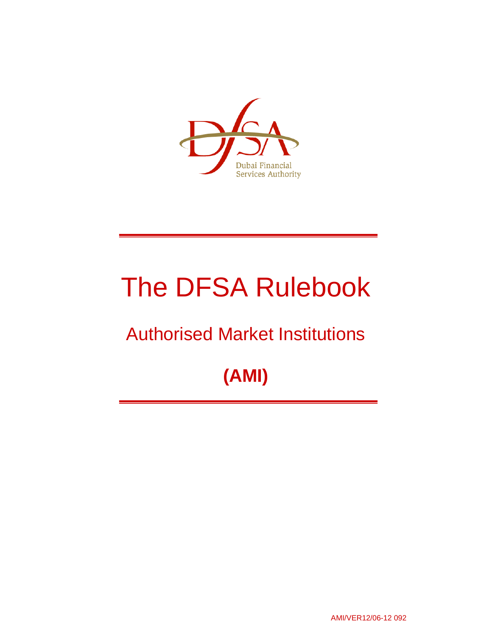

# The DFSA Rulebook

## Authorised Market Institutions

## **(AMI)**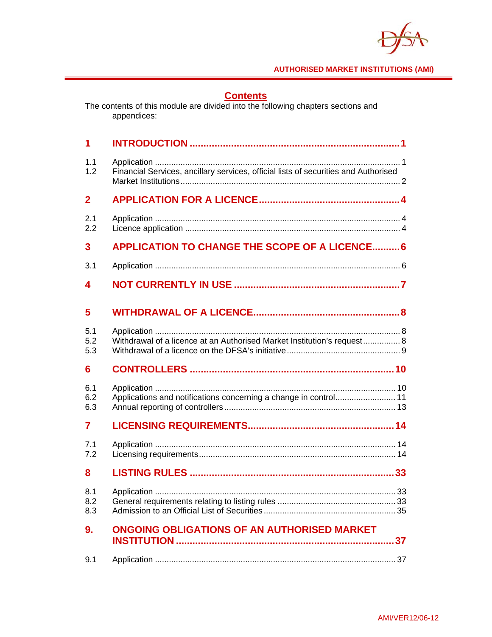

## **Contents**

The contents of this module are divided into the following chapters sections and appendices:

| 1                 |                                                                                     |
|-------------------|-------------------------------------------------------------------------------------|
| 1.1<br>1.2        | Financial Services, ancillary services, official lists of securities and Authorised |
| $\mathbf{2}$      |                                                                                     |
| 2.1<br>2.2        |                                                                                     |
| 3                 | <b>APPLICATION TO CHANGE THE SCOPE OF A LICENCE 6</b>                               |
| 3.1               |                                                                                     |
| 4                 |                                                                                     |
| 5                 |                                                                                     |
| 5.1<br>5.2<br>5.3 | Withdrawal of a licence at an Authorised Market Institution's request 8             |
| 6                 |                                                                                     |
| 6.1<br>6.2<br>6.3 | Applications and notifications concerning a change in control 11                    |
| 7                 |                                                                                     |
| 7.1<br>7.2        |                                                                                     |
| 8                 |                                                                                     |
| 8.1<br>8.2<br>8.3 |                                                                                     |
| 9.                | <b>ONGOING OBLIGATIONS OF AN AUTHORISED MARKET</b>                                  |
| 9.1               |                                                                                     |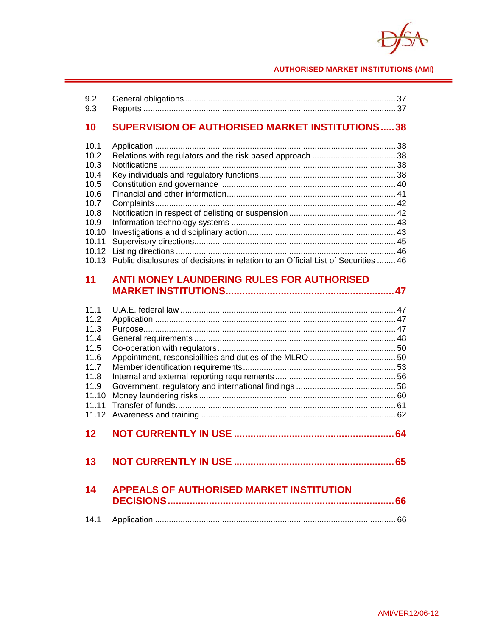

## **10 SUPERVISION OF AUTHORISED MARKET INSTITUTIONS ..... 38**

| 10.1 |                                                                                         |  |
|------|-----------------------------------------------------------------------------------------|--|
| 10.2 |                                                                                         |  |
| 10.3 |                                                                                         |  |
| 10.4 |                                                                                         |  |
| 10.5 |                                                                                         |  |
| 10.6 |                                                                                         |  |
| 10.7 |                                                                                         |  |
| 10.8 |                                                                                         |  |
|      |                                                                                         |  |
|      |                                                                                         |  |
|      |                                                                                         |  |
|      |                                                                                         |  |
|      | 10.13 Public disclosures of decisions in relation to an Official List of Securities  46 |  |

## **11 ANTI MONEY LAUNDERING RULES FOR AUTHORISED MARKET INSTITUTIONS ............................................................. 47**

| 111<br>11.2   |                                                 |    |
|---------------|-------------------------------------------------|----|
| 11.3          |                                                 |    |
| 11.4          |                                                 |    |
| 11.5          |                                                 |    |
| 11.6          |                                                 |    |
| 11.7          |                                                 |    |
| 11.8          |                                                 |    |
| 11.9<br>11.10 |                                                 |    |
| 11.11         |                                                 |    |
|               |                                                 |    |
|               |                                                 |    |
| 12            |                                                 |    |
| 13            |                                                 | 65 |
| 14            | <b>APPEALS OF AUTHORISED MARKET INSTITUTION</b> |    |
|               |                                                 | 66 |
|               |                                                 |    |
| 14.1          |                                                 |    |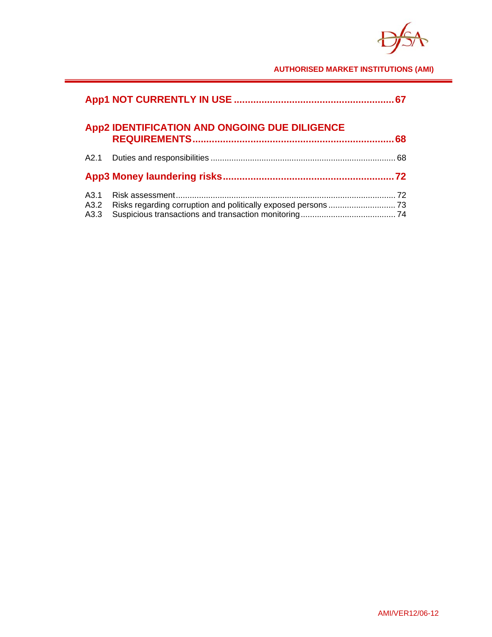$\boldsymbol{\nabla}$ 

|                      |                                               | 67 |
|----------------------|-----------------------------------------------|----|
|                      | App2 IDENTIFICATION AND ONGOING DUE DILIGENCE | 68 |
|                      |                                               |    |
|                      |                                               |    |
| A3.1<br>A3.2<br>A3.3 |                                               |    |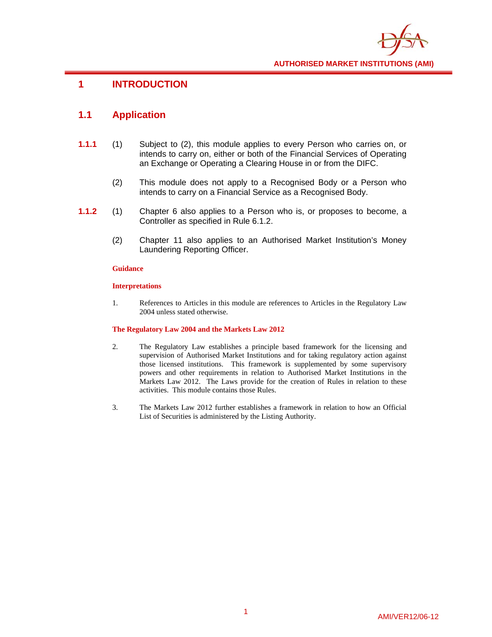

## **1 INTRODUCTION**

## **1.1 Application**

- **1.1.1** (1) Subject to (2), this module applies to every Person who carries on, or intends to carry on, either or both of the Financial Services of Operating an Exchange or Operating a Clearing House in or from the DIFC.
	- (2) This module does not apply to a Recognised Body or a Person who intends to carry on a Financial Service as a Recognised Body.
- **1.1.2** (1) Chapter 6 also applies to a Person who is, or proposes to become, a Controller as specified in Rule 6.1.2.
	- (2) Chapter 11 also applies to an Authorised Market Institution's Money Laundering Reporting Officer.

## **Guidance**

## **Interpretations**

1. References to Articles in this module are references to Articles in the Regulatory Law 2004 unless stated otherwise.

#### **The Regulatory Law 2004 and the Markets Law 2012**

- 2. The Regulatory Law establishes a principle based framework for the licensing and supervision of Authorised Market Institutions and for taking regulatory action against those licensed institutions. This framework is supplemented by some supervisory powers and other requirements in relation to Authorised Market Institutions in the Markets Law 2012. The Laws provide for the creation of Rules in relation to these activities. This module contains those Rules.
- 3. The Markets Law 2012 further establishes a framework in relation to how an Official List of Securities is administered by the Listing Authority.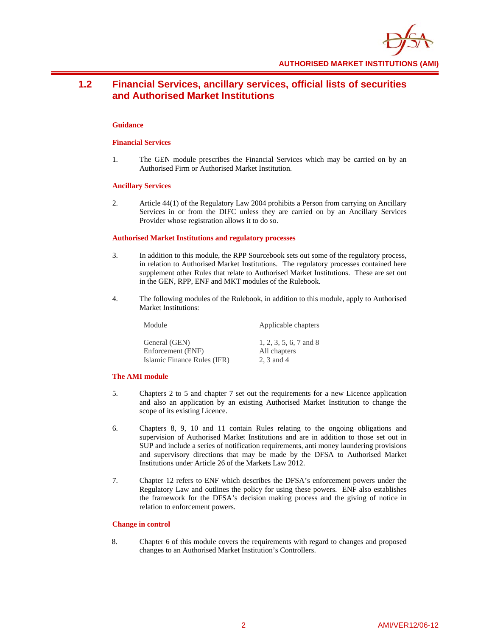

## **1.2 Financial Services, ancillary services, official lists of securities and Authorised Market Institutions**

#### **Guidance**

#### **Financial Services**

1. The GEN module prescribes the Financial Services which may be carried on by an Authorised Firm or Authorised Market Institution.

#### **Ancillary Services**

2. Article 44(1) of the Regulatory Law 2004 prohibits a Person from carrying on Ancillary Services in or from the DIFC unless they are carried on by an Ancillary Services Provider whose registration allows it to do so.

#### **Authorised Market Institutions and regulatory processes**

- 3. In addition to this module, the RPP Sourcebook sets out some of the regulatory process, in relation to Authorised Market Institutions. The regulatory processes contained here supplement other Rules that relate to Authorised Market Institutions. These are set out in the GEN, RPP, ENF and MKT modules of the Rulebook.
- 4. The following modules of the Rulebook, in addition to this module, apply to Authorised Market Institutions:

Module Applicable chapters

General (GEN) 1, 2, 3, 5, 6, 7 and 8 Enforcement (ENF) All chapters Islamic Finance Rules (IFR) 2, 3 and 4

#### **The AMI module**

- 5. Chapters 2 to 5 and chapter 7 set out the requirements for a new Licence application and also an application by an existing Authorised Market Institution to change the scope of its existing Licence.
- 6. Chapters 8, 9, 10 and 11 contain Rules relating to the ongoing obligations and supervision of Authorised Market Institutions and are in addition to those set out in SUP and include a series of notification requirements, anti money laundering provisions and supervisory directions that may be made by the DFSA to Authorised Market Institutions under Article 26 of the Markets Law 2012.
- 7. Chapter 12 refers to ENF which describes the DFSA's enforcement powers under the Regulatory Law and outlines the policy for using these powers. ENF also establishes the framework for the DFSA's decision making process and the giving of notice in relation to enforcement powers.

#### **Change in control**

8. Chapter 6 of this module covers the requirements with regard to changes and proposed changes to an Authorised Market Institution's Controllers.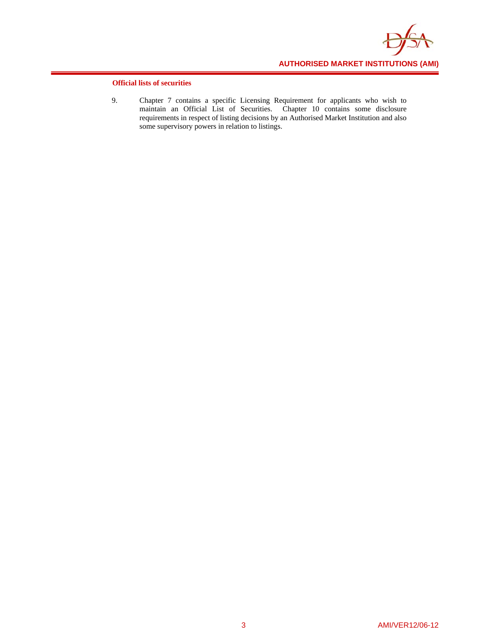

## **Official lists of securities**

9. Chapter 7 contains a specific Licensing Requirement for applicants who wish to maintain an Official List of Securities. Chapter 10 contains some disclosure requirements in respect of listing decisions by an Authorised Market Institution and also some supervisory powers in relation to listings.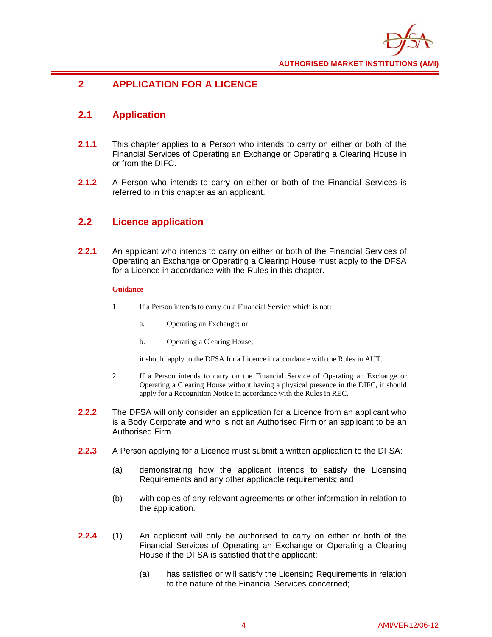

## **2 APPLICATION FOR A LICENCE**

## **2.1 Application**

- **2.1.1** This chapter applies to a Person who intends to carry on either or both of the Financial Services of Operating an Exchange or Operating a Clearing House in or from the DIFC.
- **2.1.2** A Person who intends to carry on either or both of the Financial Services is referred to in this chapter as an applicant.

## **2.2 Licence application**

**2.2.1** An applicant who intends to carry on either or both of the Financial Services of Operating an Exchange or Operating a Clearing House must apply to the DFSA for a Licence in accordance with the Rules in this chapter.

## **Guidance**

- 1. If a Person intends to carry on a Financial Service which is not:
	- a. Operating an Exchange; or
	- b. Operating a Clearing House;

it should apply to the DFSA for a Licence in accordance with the Rules in AUT.

- 2. If a Person intends to carry on the Financial Service of Operating an Exchange or Operating a Clearing House without having a physical presence in the DIFC, it should apply for a Recognition Notice in accordance with the Rules in REC.
- **2.2.2** The DFSA will only consider an application for a Licence from an applicant who is a Body Corporate and who is not an Authorised Firm or an applicant to be an Authorised Firm.
- **2.2.3** A Person applying for a Licence must submit a written application to the DFSA:
	- (a) demonstrating how the applicant intends to satisfy the Licensing Requirements and any other applicable requirements; and
	- (b) with copies of any relevant agreements or other information in relation to the application.
- **2.2.4** (1) An applicant will only be authorised to carry on either or both of the Financial Services of Operating an Exchange or Operating a Clearing House if the DFSA is satisfied that the applicant:
	- (a) has satisfied or will satisfy the Licensing Requirements in relation to the nature of the Financial Services concerned;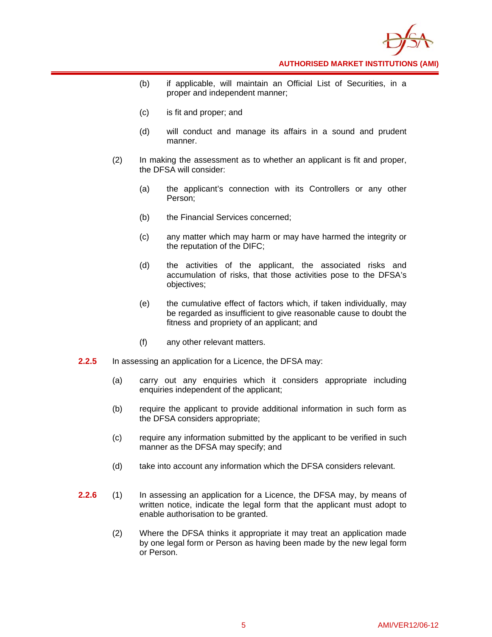

- (b) if applicable, will maintain an Official List of Securities, in a proper and independent manner;
- (c) is fit and proper; and
- (d) will conduct and manage its affairs in a sound and prudent manner.
- (2) In making the assessment as to whether an applicant is fit and proper, the DFSA will consider:
	- (a) the applicant's connection with its Controllers or any other Person;
	- (b) the Financial Services concerned;
	- (c) any matter which may harm or may have harmed the integrity or the reputation of the DIFC;
	- (d) the activities of the applicant, the associated risks and accumulation of risks, that those activities pose to the DFSA's objectives;
	- (e) the cumulative effect of factors which, if taken individually, may be regarded as insufficient to give reasonable cause to doubt the fitness and propriety of an applicant; and
	- (f) any other relevant matters.
- **2.2.5** In assessing an application for a Licence, the DFSA may:
	- (a) carry out any enquiries which it considers appropriate including enquiries independent of the applicant;
	- (b) require the applicant to provide additional information in such form as the DFSA considers appropriate;
	- (c) require any information submitted by the applicant to be verified in such manner as the DFSA may specify; and
	- (d) take into account any information which the DFSA considers relevant.
- **2.2.6** (1) In assessing an application for a Licence, the DFSA may, by means of written notice, indicate the legal form that the applicant must adopt to enable authorisation to be granted.
	- (2) Where the DFSA thinks it appropriate it may treat an application made by one legal form or Person as having been made by the new legal form or Person.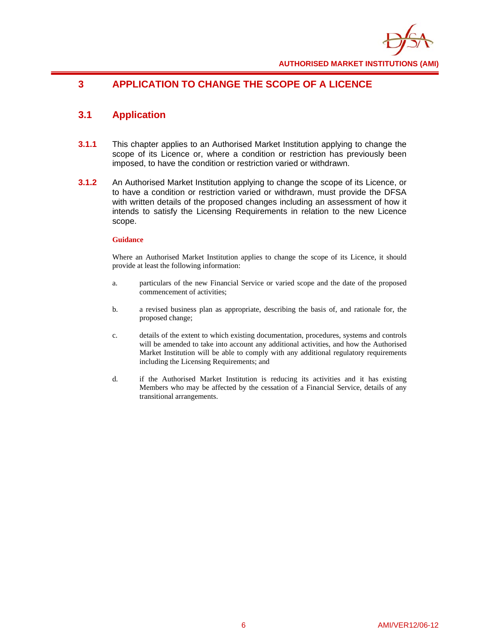

## **3 APPLICATION TO CHANGE THE SCOPE OF A LICENCE**

## **3.1 Application**

- **3.1.1** This chapter applies to an Authorised Market Institution applying to change the scope of its Licence or, where a condition or restriction has previously been imposed, to have the condition or restriction varied or withdrawn.
- **3.1.2** An Authorised Market Institution applying to change the scope of its Licence, or to have a condition or restriction varied or withdrawn, must provide the DFSA with written details of the proposed changes including an assessment of how it intends to satisfy the Licensing Requirements in relation to the new Licence scope.

## **Guidance**

Where an Authorised Market Institution applies to change the scope of its Licence, it should provide at least the following information:

- a. particulars of the new Financial Service or varied scope and the date of the proposed commencement of activities;
- b. a revised business plan as appropriate, describing the basis of, and rationale for, the proposed change;
- c. details of the extent to which existing documentation, procedures, systems and controls will be amended to take into account any additional activities, and how the Authorised Market Institution will be able to comply with any additional regulatory requirements including the Licensing Requirements; and
- d. if the Authorised Market Institution is reducing its activities and it has existing Members who may be affected by the cessation of a Financial Service, details of any transitional arrangements.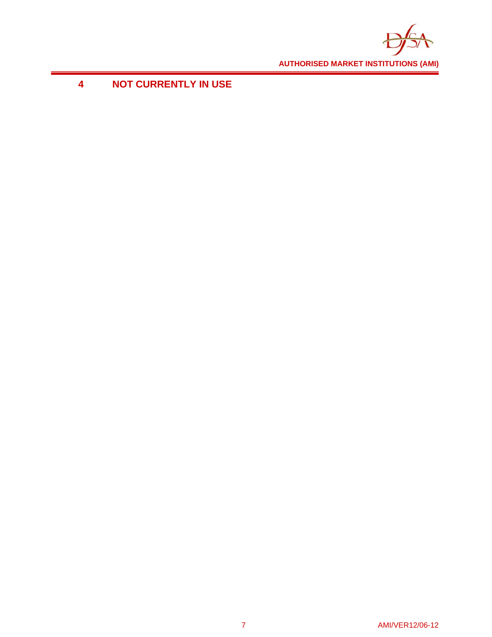

## **4 NOT CURRENTLY IN USE**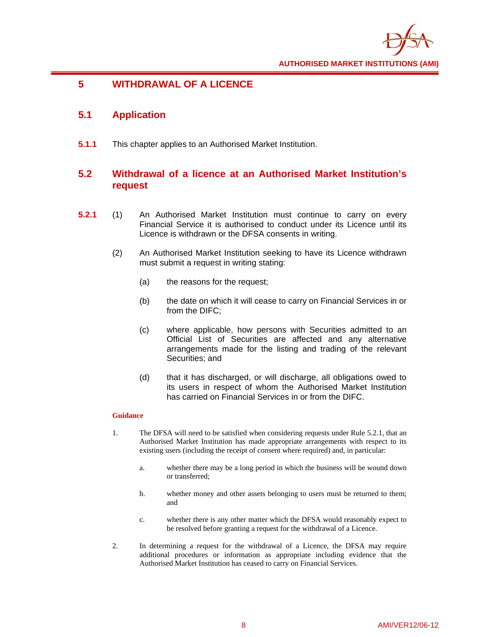

## **5 WITHDRAWAL OF A LICENCE**

## **5.1 Application**

**5.1.1** This chapter applies to an Authorised Market Institution.

## **5.2 Withdrawal of a licence at an Authorised Market Institution's request**

- **5.2.1** (1) An Authorised Market Institution must continue to carry on every Financial Service it is authorised to conduct under its Licence until its Licence is withdrawn or the DFSA consents in writing.
	- (2) An Authorised Market Institution seeking to have its Licence withdrawn must submit a request in writing stating:
		- (a) the reasons for the request;
		- (b) the date on which it will cease to carry on Financial Services in or from the DIFC;
		- (c) where applicable, how persons with Securities admitted to an Official List of Securities are affected and any alternative arrangements made for the listing and trading of the relevant Securities; and
		- (d) that it has discharged, or will discharge, all obligations owed to its users in respect of whom the Authorised Market Institution has carried on Financial Services in or from the DIFC.

- 1. The DFSA will need to be satisfied when considering requests under Rule 5.2.1, that an Authorised Market Institution has made appropriate arrangements with respect to its existing users (including the receipt of consent where required) and, in particular:
	- a. whether there may be a long period in which the business will be wound down or transferred;
	- b. whether money and other assets belonging to users must be returned to them; and
	- c. whether there is any other matter which the DFSA would reasonably expect to be resolved before granting a request for the withdrawal of a Licence.
- 2. In determining a request for the withdrawal of a Licence, the DFSA may require additional procedures or information as appropriate including evidence that the Authorised Market Institution has ceased to carry on Financial Services.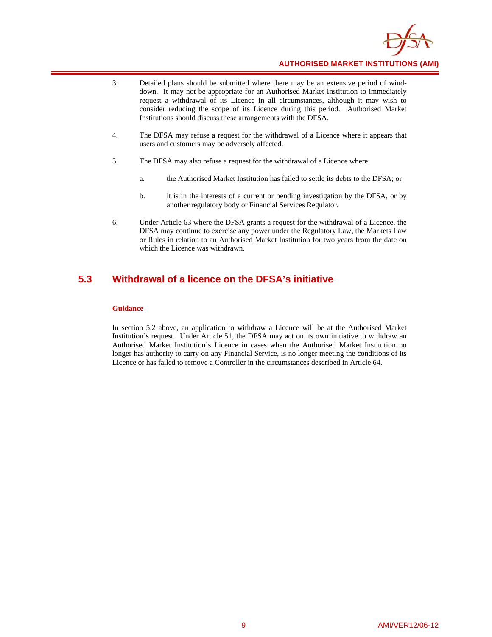

- 3. Detailed plans should be submitted where there may be an extensive period of winddown. It may not be appropriate for an Authorised Market Institution to immediately request a withdrawal of its Licence in all circumstances, although it may wish to consider reducing the scope of its Licence during this period. Authorised Market Institutions should discuss these arrangements with the DFSA.
- 4. The DFSA may refuse a request for the withdrawal of a Licence where it appears that users and customers may be adversely affected.
- 5. The DFSA may also refuse a request for the withdrawal of a Licence where:
	- a. the Authorised Market Institution has failed to settle its debts to the DFSA; or
	- b. it is in the interests of a current or pending investigation by the DFSA, or by another regulatory body or Financial Services Regulator.
- 6. Under Article 63 where the DFSA grants a request for the withdrawal of a Licence, the DFSA may continue to exercise any power under the Regulatory Law, the Markets Law or Rules in relation to an Authorised Market Institution for two years from the date on which the Licence was withdrawn.

## **5.3 Withdrawal of a licence on the DFSA's initiative**

## **Guidance**

In section 5.2 above, an application to withdraw a Licence will be at the Authorised Market Institution's request. Under Article 51, the DFSA may act on its own initiative to withdraw an Authorised Market Institution's Licence in cases when the Authorised Market Institution no longer has authority to carry on any Financial Service, is no longer meeting the conditions of its Licence or has failed to remove a Controller in the circumstances described in Article 64.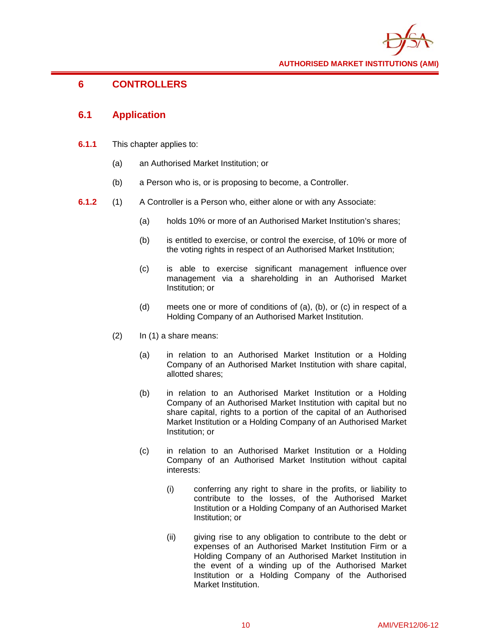

## **6 CONTROLLERS**

## **6.1 Application**

- **6.1.1** This chapter applies to:
	- (a) an Authorised Market Institution; or
	- (b) a Person who is, or is proposing to become, a Controller.
- **6.1.2** (1) A Controller is a Person who, either alone or with any Associate:
	- (a) holds 10% or more of an Authorised Market Institution's shares;
	- (b) is entitled to exercise, or control the exercise, of 10% or more of the voting rights in respect of an Authorised Market Institution;
	- (c) is able to exercise significant management influence over management via a shareholding in an Authorised Market Institution; or
	- (d) meets one or more of conditions of (a), (b), or (c) in respect of a Holding Company of an Authorised Market Institution.
	- (2) In (1) a share means:
		- (a) in relation to an Authorised Market Institution or a Holding Company of an Authorised Market Institution with share capital, allotted shares;
		- (b) in relation to an Authorised Market Institution or a Holding Company of an Authorised Market Institution with capital but no share capital, rights to a portion of the capital of an Authorised Market Institution or a Holding Company of an Authorised Market Institution; or
		- (c) in relation to an Authorised Market Institution or a Holding Company of an Authorised Market Institution without capital interests:
			- (i) conferring any right to share in the profits, or liability to contribute to the losses, of the Authorised Market Institution or a Holding Company of an Authorised Market Institution; or
			- (ii) giving rise to any obligation to contribute to the debt or expenses of an Authorised Market Institution Firm or a Holding Company of an Authorised Market Institution in the event of a winding up of the Authorised Market Institution or a Holding Company of the Authorised Market Institution.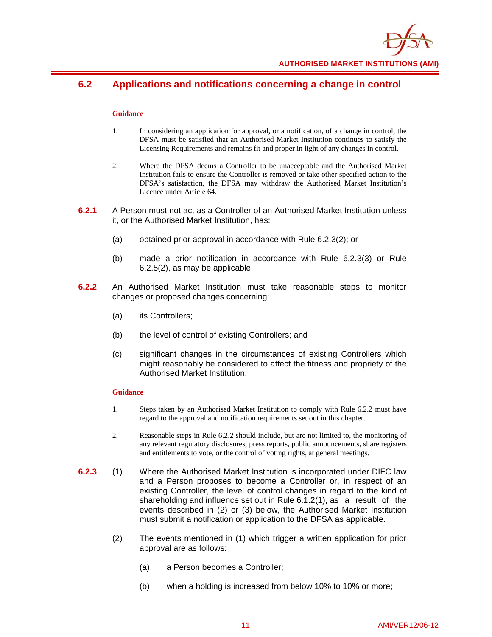

## **6.2 Applications and notifications concerning a change in control**

## **Guidance**

- 1. In considering an application for approval, or a notification, of a change in control, the DFSA must be satisfied that an Authorised Market Institution continues to satisfy the Licensing Requirements and remains fit and proper in light of any changes in control.
- 2. Where the DFSA deems a Controller to be unacceptable and the Authorised Market Institution fails to ensure the Controller is removed or take other specified action to the DFSA's satisfaction, the DFSA may withdraw the Authorised Market Institution's Licence under Article 64.
- **6.2.1** A Person must not act as a Controller of an Authorised Market Institution unless it, or the Authorised Market Institution, has:
	- (a) obtained prior approval in accordance with Rule 6.2.3(2); or
	- (b) made a prior notification in accordance with Rule 6.2.3(3) or Rule 6.2.5(2), as may be applicable.
- **6.2.2** An Authorised Market Institution must take reasonable steps to monitor changes or proposed changes concerning:
	- (a) its Controllers;
	- (b) the level of control of existing Controllers; and
	- (c) significant changes in the circumstances of existing Controllers which might reasonably be considered to affect the fitness and propriety of the Authorised Market Institution.

- 1. Steps taken by an Authorised Market Institution to comply with Rule 6.2.2 must have regard to the approval and notification requirements set out in this chapter.
- 2. Reasonable steps in Rule 6.2.2 should include, but are not limited to, the monitoring of any relevant regulatory disclosures, press reports, public announcements, share registers and entitlements to vote, or the control of voting rights, at general meetings.
- **6.2.3** (1) Where the Authorised Market Institution is incorporated under DIFC law and a Person proposes to become a Controller or, in respect of an existing Controller, the level of control changes in regard to the kind of shareholding and influence set out in Rule 6.1.2(1), as a result of the events described in (2) or (3) below, the Authorised Market Institution must submit a notification or application to the DFSA as applicable.
	- (2) The events mentioned in (1) which trigger a written application for prior approval are as follows:
		- (a) a Person becomes a Controller;
		- (b) when a holding is increased from below 10% to 10% or more;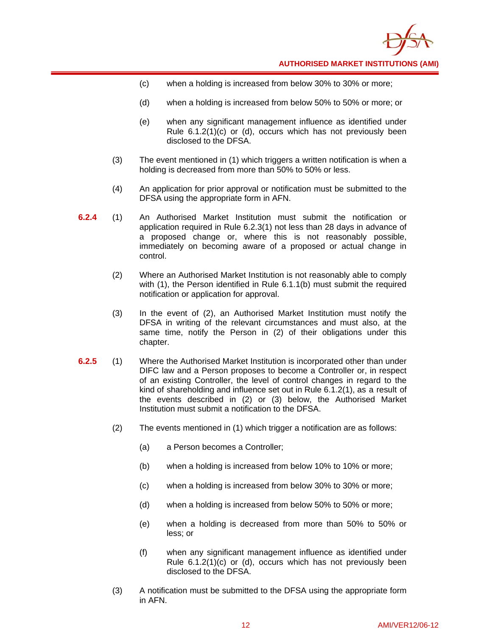

- (c) when a holding is increased from below 30% to 30% or more;
- (d) when a holding is increased from below 50% to 50% or more; or
- (e) when any significant management influence as identified under Rule 6.1.2(1)(c) or (d), occurs which has not previously been disclosed to the DFSA.
- (3) The event mentioned in (1) which triggers a written notification is when a holding is decreased from more than 50% to 50% or less.
- (4) An application for prior approval or notification must be submitted to the DFSA using the appropriate form in AFN.
- **6.2.4** (1) An Authorised Market Institution must submit the notification or application required in Rule 6.2.3(1) not less than 28 days in advance of a proposed change or, where this is not reasonably possible, immediately on becoming aware of a proposed or actual change in control.
	- (2) Where an Authorised Market Institution is not reasonably able to comply with (1), the Person identified in Rule 6.1.1(b) must submit the required notification or application for approval.
	- (3) In the event of (2), an Authorised Market Institution must notify the DFSA in writing of the relevant circumstances and must also, at the same time, notify the Person in (2) of their obligations under this chapter.
- **6.2.5** (1) Where the Authorised Market Institution is incorporated other than under DIFC law and a Person proposes to become a Controller or, in respect of an existing Controller, the level of control changes in regard to the kind of shareholding and influence set out in Rule 6.1.2(1), as a result of the events described in (2) or (3) below, the Authorised Market Institution must submit a notification to the DFSA.
	- (2) The events mentioned in (1) which trigger a notification are as follows:
		- (a) a Person becomes a Controller;
		- (b) when a holding is increased from below 10% to 10% or more;
		- (c) when a holding is increased from below 30% to 30% or more;
		- (d) when a holding is increased from below 50% to 50% or more;
		- (e) when a holding is decreased from more than 50% to 50% or less; or
		- (f) when any significant management influence as identified under Rule 6.1.2(1)(c) or (d), occurs which has not previously been disclosed to the DFSA.
	- (3) A notification must be submitted to the DFSA using the appropriate form in AFN.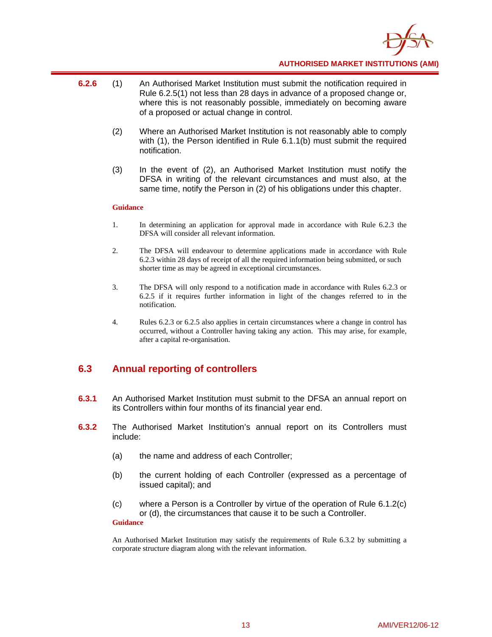

- **6.2.6** (1) An Authorised Market Institution must submit the notification required in Rule 6.2.5(1) not less than 28 days in advance of a proposed change or, where this is not reasonably possible, immediately on becoming aware of a proposed or actual change in control.
	- (2) Where an Authorised Market Institution is not reasonably able to comply with (1), the Person identified in Rule 6.1.1(b) must submit the required notification.
	- (3) In the event of (2), an Authorised Market Institution must notify the DFSA in writing of the relevant circumstances and must also, at the same time, notify the Person in (2) of his obligations under this chapter.

## **Guidance**

- 1. In determining an application for approval made in accordance with Rule 6.2.3 the DFSA will consider all relevant information.
- 2. The DFSA will endeavour to determine applications made in accordance with Rule 6.2.3 within 28 days of receipt of all the required information being submitted, or such shorter time as may be agreed in exceptional circumstances.
- 3. The DFSA will only respond to a notification made in accordance with Rules 6.2.3 or 6.2.5 if it requires further information in light of the changes referred to in the notification.
- 4. Rules 6.2.3 or 6.2.5 also applies in certain circumstances where a change in control has occurred, without a Controller having taking any action. This may arise, for example, after a capital re-organisation.

## **6.3 Annual reporting of controllers**

- **6.3.1** An Authorised Market Institution must submit to the DFSA an annual report on its Controllers within four months of its financial year end.
- **6.3.2** The Authorised Market Institution's annual report on its Controllers must include:
	- (a) the name and address of each Controller;
	- (b) the current holding of each Controller (expressed as a percentage of issued capital); and
	- (c) where a Person is a Controller by virtue of the operation of Rule 6.1.2(c) or (d), the circumstances that cause it to be such a Controller. **Guidance**

An Authorised Market Institution may satisfy the requirements of Rule 6.3.2 by submitting a corporate structure diagram along with the relevant information.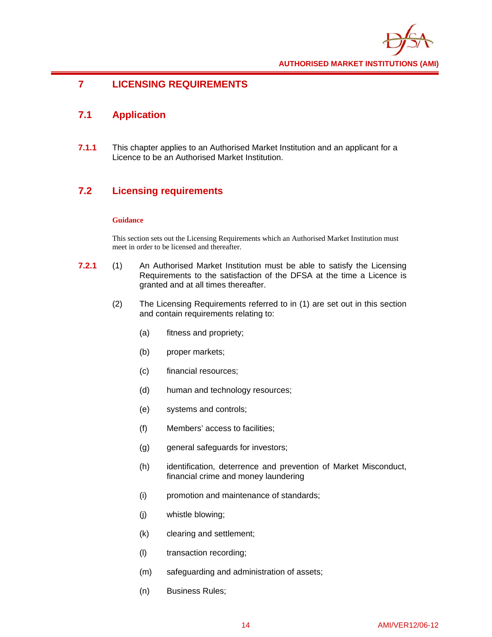

## **7 LICENSING REQUIREMENTS**

## **7.1 Application**

**7.1.1** This chapter applies to an Authorised Market Institution and an applicant for a Licence to be an Authorised Market Institution.

## **7.2 Licensing requirements**

## **Guidance**

This section sets out the Licensing Requirements which an Authorised Market Institution must meet in order to be licensed and thereafter.

- **7.2.1** (1) An Authorised Market Institution must be able to satisfy the Licensing Requirements to the satisfaction of the DFSA at the time a Licence is granted and at all times thereafter.
	- (2) The Licensing Requirements referred to in (1) are set out in this section and contain requirements relating to:
		- (a) fitness and propriety;
		- (b) proper markets;
		- (c) financial resources;
		- (d) human and technology resources;
		- (e) systems and controls;
		- (f) Members' access to facilities;
		- (g) general safeguards for investors;
		- (h) identification, deterrence and prevention of Market Misconduct, financial crime and money laundering
		- (i) promotion and maintenance of standards;
		- (j) whistle blowing;
		- (k) clearing and settlement;
		- (l) transaction recording;
		- (m) safeguarding and administration of assets;
		- (n) Business Rules;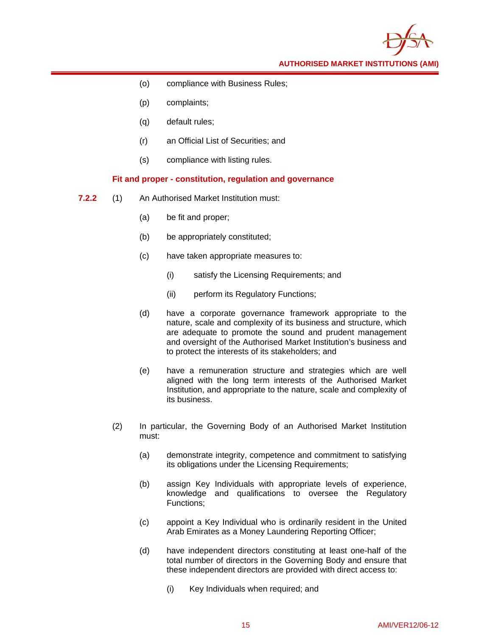

- (o) compliance with Business Rules;
- (p) complaints;
- (q) default rules;
- (r) an Official List of Securities; and
- (s) compliance with listing rules.

## **Fit and proper - constitution, regulation and governance**

- **7.2.2** (1) An Authorised Market Institution must:
	- (a) be fit and proper;
	- (b) be appropriately constituted;
	- (c) have taken appropriate measures to:
		- (i) satisfy the Licensing Requirements; and
		- (ii) perform its Regulatory Functions;
	- (d) have a corporate governance framework appropriate to the nature, scale and complexity of its business and structure, which are adequate to promote the sound and prudent management and oversight of the Authorised Market Institution's business and to protect the interests of its stakeholders; and
	- (e) have a remuneration structure and strategies which are well aligned with the long term interests of the Authorised Market Institution, and appropriate to the nature, scale and complexity of its business.
	- (2) In particular, the Governing Body of an Authorised Market Institution must:
		- (a) demonstrate integrity, competence and commitment to satisfying its obligations under the Licensing Requirements;
		- (b) assign Key Individuals with appropriate levels of experience, knowledge and qualifications to oversee the Regulatory Functions;
		- (c) appoint a Key Individual who is ordinarily resident in the United Arab Emirates as a Money Laundering Reporting Officer;
		- (d) have independent directors constituting at least one-half of the total number of directors in the Governing Body and ensure that these independent directors are provided with direct access to:
			- (i) Key Individuals when required; and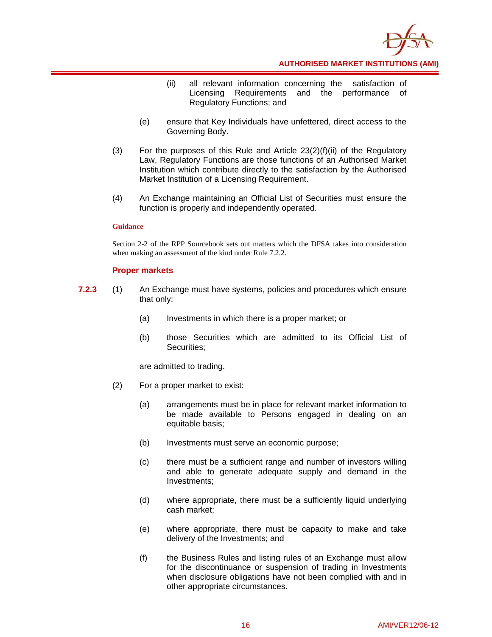

- (ii) all relevant information concerning the satisfaction of Licensing Requirements and the performance of Regulatory Functions; and
- (e) ensure that Key Individuals have unfettered, direct access to the Governing Body.
- (3) For the purposes of this Rule and Article  $23(2)(f)(ii)$  of the Regulatory Law, Regulatory Functions are those functions of an Authorised Market Institution which contribute directly to the satisfaction by the Authorised Market Institution of a Licensing Requirement.
- (4) An Exchange maintaining an Official List of Securities must ensure the function is properly and independently operated.

#### **Guidance**

Section 2-2 of the RPP Sourcebook sets out matters which the DFSA takes into consideration when making an assessment of the kind under Rule 7.2.2.

## **Proper markets**

- **7.2.3** (1) An Exchange must have systems, policies and procedures which ensure that only:
	- (a) Investments in which there is a proper market; or
	- (b) those Securities which are admitted to its Official List of Securities;

are admitted to trading.

- (2) For a proper market to exist:
	- (a) arrangements must be in place for relevant market information to be made available to Persons engaged in dealing on an equitable basis;
	- (b) Investments must serve an economic purpose;
	- (c) there must be a sufficient range and number of investors willing and able to generate adequate supply and demand in the Investments;
	- (d) where appropriate, there must be a sufficiently liquid underlying cash market;
	- (e) where appropriate, there must be capacity to make and take delivery of the Investments; and
	- (f) the Business Rules and listing rules of an Exchange must allow for the discontinuance or suspension of trading in Investments when disclosure obligations have not been complied with and in other appropriate circumstances.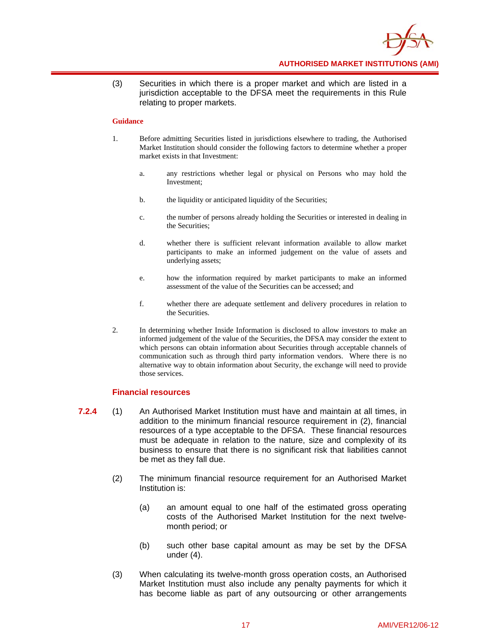

(3) Securities in which there is a proper market and which are listed in a jurisdiction acceptable to the DFSA meet the requirements in this Rule relating to proper markets.

#### **Guidance**

- 1. Before admitting Securities listed in jurisdictions elsewhere to trading, the Authorised Market Institution should consider the following factors to determine whether a proper market exists in that Investment:
	- a. any restrictions whether legal or physical on Persons who may hold the Investment;
	- b. the liquidity or anticipated liquidity of the Securities;
	- c. the number of persons already holding the Securities or interested in dealing in the Securities;
	- d. whether there is sufficient relevant information available to allow market participants to make an informed judgement on the value of assets and underlying assets;
	- e. how the information required by market participants to make an informed assessment of the value of the Securities can be accessed; and
	- f. whether there are adequate settlement and delivery procedures in relation to the Securities.
- 2. In determining whether Inside Information is disclosed to allow investors to make an informed judgement of the value of the Securities, the DFSA may consider the extent to which persons can obtain information about Securities through acceptable channels of communication such as through third party information vendors. Where there is no alternative way to obtain information about Security, the exchange will need to provide those services.

## **Financial resources**

- **7.2.4** (1) An Authorised Market Institution must have and maintain at all times, in addition to the minimum financial resource requirement in (2), financial resources of a type acceptable to the DFSA. These financial resources must be adequate in relation to the nature, size and complexity of its business to ensure that there is no significant risk that liabilities cannot be met as they fall due.
	- (2) The minimum financial resource requirement for an Authorised Market Institution is:
		- (a) an amount equal to one half of the estimated gross operating costs of the Authorised Market Institution for the next twelvemonth period; or
		- (b) such other base capital amount as may be set by the DFSA under (4).
	- (3) When calculating its twelve-month gross operation costs, an Authorised Market Institution must also include any penalty payments for which it has become liable as part of any outsourcing or other arrangements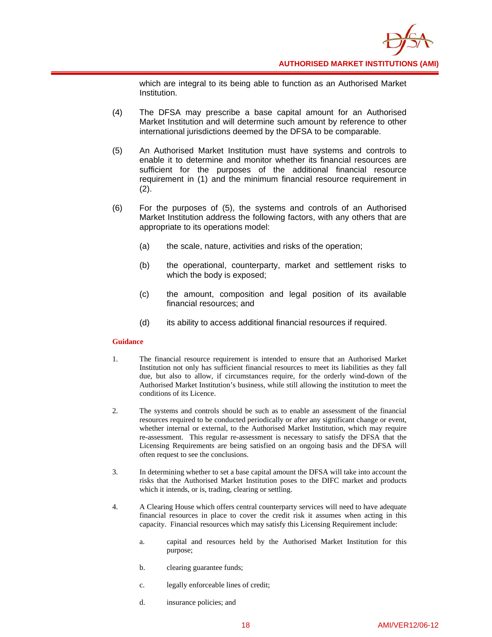

which are integral to its being able to function as an Authorised Market Institution.

- (4) The DFSA may prescribe a base capital amount for an Authorised Market Institution and will determine such amount by reference to other international jurisdictions deemed by the DFSA to be comparable.
- (5) An Authorised Market Institution must have systems and controls to enable it to determine and monitor whether its financial resources are sufficient for the purposes of the additional financial resource requirement in (1) and the minimum financial resource requirement in (2).
- (6) For the purposes of (5), the systems and controls of an Authorised Market Institution address the following factors, with any others that are appropriate to its operations model:
	- (a) the scale, nature, activities and risks of the operation;
	- (b) the operational, counterparty, market and settlement risks to which the body is exposed;
	- (c) the amount, composition and legal position of its available financial resources; and
	- (d) its ability to access additional financial resources if required.

- 1. The financial resource requirement is intended to ensure that an Authorised Market Institution not only has sufficient financial resources to meet its liabilities as they fall due, but also to allow, if circumstances require, for the orderly wind-down of the Authorised Market Institution's business, while still allowing the institution to meet the conditions of its Licence.
- 2. The systems and controls should be such as to enable an assessment of the financial resources required to be conducted periodically or after any significant change or event, whether internal or external, to the Authorised Market Institution, which may require re-assessment. This regular re-assessment is necessary to satisfy the DFSA that the Licensing Requirements are being satisfied on an ongoing basis and the DFSA will often request to see the conclusions.
- 3. In determining whether to set a base capital amount the DFSA will take into account the risks that the Authorised Market Institution poses to the DIFC market and products which it intends, or is, trading, clearing or settling.
- 4. A Clearing House which offers central counterparty services will need to have adequate financial resources in place to cover the credit risk it assumes when acting in this capacity. Financial resources which may satisfy this Licensing Requirement include:
	- a. capital and resources held by the Authorised Market Institution for this purpose;
	- b. clearing guarantee funds;
	- c. legally enforceable lines of credit;
	- d. insurance policies; and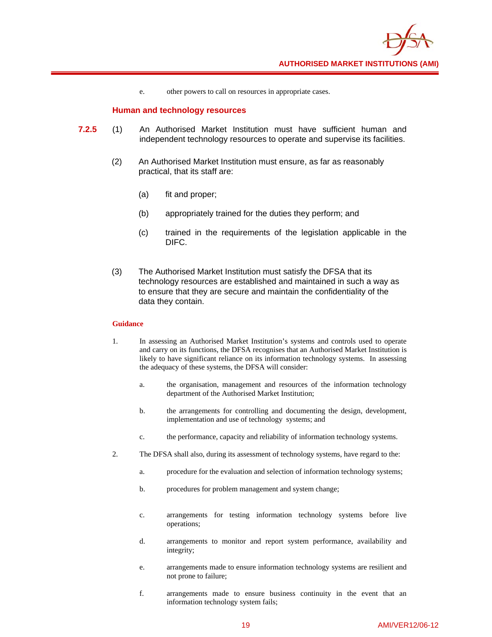

e. other powers to call on resources in appropriate cases.

## **Human and technology resources**

- **7.2.5** (1) An Authorised Market Institution must have sufficient human and independent technology resources to operate and supervise its facilities.
	- (2) An Authorised Market Institution must ensure, as far as reasonably practical, that its staff are:
		- (a) fit and proper;
		- (b) appropriately trained for the duties they perform; and
		- (c) trained in the requirements of the legislation applicable in the DIFC.
	- (3) The Authorised Market Institution must satisfy the DFSA that its technology resources are established and maintained in such a way as to ensure that they are secure and maintain the confidentiality of the data they contain.

- 1. In assessing an Authorised Market Institution's systems and controls used to operate and carry on its functions, the DFSA recognises that an Authorised Market Institution is likely to have significant reliance on its information technology systems. In assessing the adequacy of these systems, the DFSA will consider:
	- a. the organisation, management and resources of the information technology department of the Authorised Market Institution;
	- b. the arrangements for controlling and documenting the design, development, implementation and use of technology systems; and
	- c. the performance, capacity and reliability of information technology systems.
- 2. The DFSA shall also, during its assessment of technology systems, have regard to the:
	- a. procedure for the evaluation and selection of information technology systems;
	- b. procedures for problem management and system change;
	- c. arrangements for testing information technology systems before live operations;
	- d. arrangements to monitor and report system performance, availability and integrity;
	- e. arrangements made to ensure information technology systems are resilient and not prone to failure;
	- f. arrangements made to ensure business continuity in the event that an information technology system fails;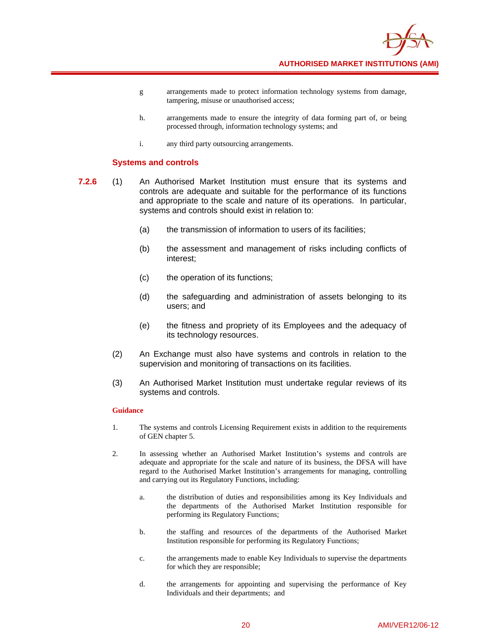

- g arrangements made to protect information technology systems from damage, tampering, misuse or unauthorised access;
- h. arrangements made to ensure the integrity of data forming part of, or being processed through, information technology systems; and
- i. any third party outsourcing arrangements.

## **Systems and controls**

- **7.2.6** (1) An Authorised Market Institution must ensure that its systems and controls are adequate and suitable for the performance of its functions and appropriate to the scale and nature of its operations. In particular, systems and controls should exist in relation to:
	- (a) the transmission of information to users of its facilities;
	- (b) the assessment and management of risks including conflicts of interest;
	- (c) the operation of its functions;
	- (d) the safeguarding and administration of assets belonging to its users; and
	- (e) the fitness and propriety of its Employees and the adequacy of its technology resources.
	- (2) An Exchange must also have systems and controls in relation to the supervision and monitoring of transactions on its facilities.
	- (3) An Authorised Market Institution must undertake regular reviews of its systems and controls.

- 1. The systems and controls Licensing Requirement exists in addition to the requirements of GEN chapter 5.
- 2. In assessing whether an Authorised Market Institution's systems and controls are adequate and appropriate for the scale and nature of its business, the DFSA will have regard to the Authorised Market Institution's arrangements for managing, controlling and carrying out its Regulatory Functions, including:
	- a. the distribution of duties and responsibilities among its Key Individuals and the departments of the Authorised Market Institution responsible for performing its Regulatory Functions;
	- b. the staffing and resources of the departments of the Authorised Market Institution responsible for performing its Regulatory Functions;
	- c. the arrangements made to enable Key Individuals to supervise the departments for which they are responsible;
	- d. the arrangements for appointing and supervising the performance of Key Individuals and their departments; and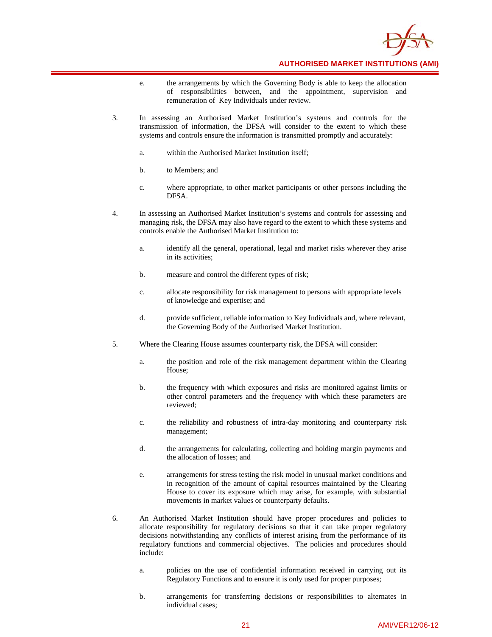

- e. the arrangements by which the Governing Body is able to keep the allocation of responsibilities between, and the appointment, supervision and remuneration of Key Individuals under review.
- 3. In assessing an Authorised Market Institution's systems and controls for the transmission of information, the DFSA will consider to the extent to which these systems and controls ensure the information is transmitted promptly and accurately:
	- a. within the Authorised Market Institution itself;
	- b. to Members; and
	- c. where appropriate, to other market participants or other persons including the DFSA.
- 4. In assessing an Authorised Market Institution's systems and controls for assessing and managing risk, the DFSA may also have regard to the extent to which these systems and controls enable the Authorised Market Institution to:
	- a. identify all the general, operational, legal and market risks wherever they arise in its activities;
	- b. measure and control the different types of risk;
	- c. allocate responsibility for risk management to persons with appropriate levels of knowledge and expertise; and
	- d. provide sufficient, reliable information to Key Individuals and, where relevant, the Governing Body of the Authorised Market Institution.
- 5. Where the Clearing House assumes counterparty risk, the DFSA will consider:
	- a. the position and role of the risk management department within the Clearing House;
	- b. the frequency with which exposures and risks are monitored against limits or other control parameters and the frequency with which these parameters are reviewed;
	- c. the reliability and robustness of intra-day monitoring and counterparty risk management;
	- d. the arrangements for calculating, collecting and holding margin payments and the allocation of losses; and
	- e. arrangements for stress testing the risk model in unusual market conditions and in recognition of the amount of capital resources maintained by the Clearing House to cover its exposure which may arise, for example, with substantial movements in market values or counterparty defaults.
- 6. An Authorised Market Institution should have proper procedures and policies to allocate responsibility for regulatory decisions so that it can take proper regulatory decisions notwithstanding any conflicts of interest arising from the performance of its regulatory functions and commercial objectives. The policies and procedures should include:
	- a. policies on the use of confidential information received in carrying out its Regulatory Functions and to ensure it is only used for proper purposes;
	- b. arrangements for transferring decisions or responsibilities to alternates in individual cases;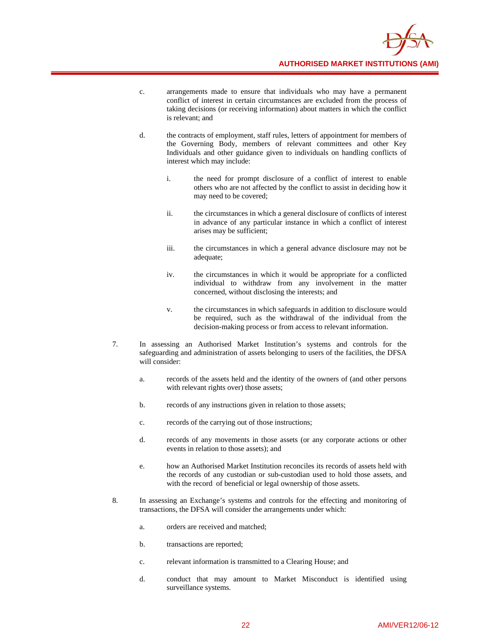

- c. arrangements made to ensure that individuals who may have a permanent conflict of interest in certain circumstances are excluded from the process of taking decisions (or receiving information) about matters in which the conflict is relevant; and
- d. the contracts of employment, staff rules, letters of appointment for members of the Governing Body, members of relevant committees and other Key Individuals and other guidance given to individuals on handling conflicts of interest which may include:
	- i. the need for prompt disclosure of a conflict of interest to enable others who are not affected by the conflict to assist in deciding how it may need to be covered;
	- ii. the circumstances in which a general disclosure of conflicts of interest in advance of any particular instance in which a conflict of interest arises may be sufficient;
	- iii. the circumstances in which a general advance disclosure may not be adequate;
	- iv. the circumstances in which it would be appropriate for a conflicted individual to withdraw from any involvement in the matter concerned, without disclosing the interests; and
	- v. the circumstances in which safeguards in addition to disclosure would be required, such as the withdrawal of the individual from the decision-making process or from access to relevant information.
- 7. In assessing an Authorised Market Institution's systems and controls for the safeguarding and administration of assets belonging to users of the facilities, the DFSA will consider:
	- a. records of the assets held and the identity of the owners of (and other persons with relevant rights over) those assets;
	- b. records of any instructions given in relation to those assets;
	- c. records of the carrying out of those instructions;
	- d. records of any movements in those assets (or any corporate actions or other events in relation to those assets); and
	- e. how an Authorised Market Institution reconciles its records of assets held with the records of any custodian or sub-custodian used to hold those assets, and with the record of beneficial or legal ownership of those assets.
- 8. In assessing an Exchange's systems and controls for the effecting and monitoring of transactions, the DFSA will consider the arrangements under which:
	- a. orders are received and matched;
	- b. transactions are reported;
	- c. relevant information is transmitted to a Clearing House; and
	- d. conduct that may amount to Market Misconduct is identified using surveillance systems.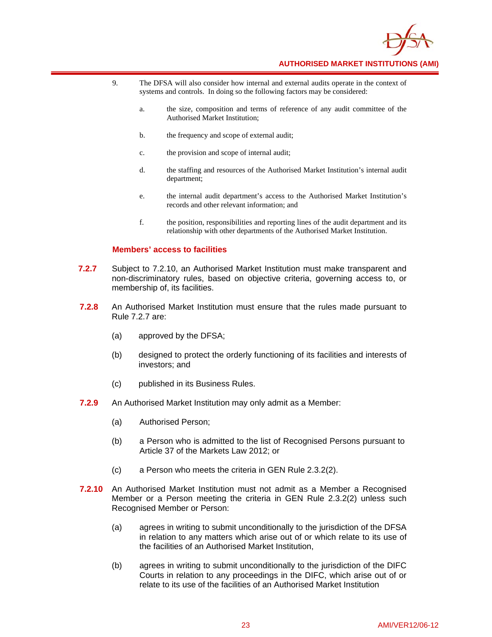

- 9. The DFSA will also consider how internal and external audits operate in the context of systems and controls. In doing so the following factors may be considered:
	- a. the size, composition and terms of reference of any audit committee of the Authorised Market Institution;
	- b. the frequency and scope of external audit;
	- c. the provision and scope of internal audit;
	- d. the staffing and resources of the Authorised Market Institution's internal audit department;
	- e. the internal audit department's access to the Authorised Market Institution's records and other relevant information; and
	- f. the position, responsibilities and reporting lines of the audit department and its relationship with other departments of the Authorised Market Institution.

## **Members' access to facilities**

- **7.2.7** Subject to 7.2.10, an Authorised Market Institution must make transparent and non-discriminatory rules, based on objective criteria, governing access to, or membership of, its facilities.
- **7.2.8** An Authorised Market Institution must ensure that the rules made pursuant to Rule 7.2.7 are:
	- (a) approved by the DFSA;
	- (b) designed to protect the orderly functioning of its facilities and interests of investors; and
	- (c) published in its Business Rules.
- **7.2.9** An Authorised Market Institution may only admit as a Member:
	- (a) Authorised Person;
	- (b) a Person who is admitted to the list of Recognised Persons pursuant to Article 37 of the Markets Law 2012; or
	- (c) a Person who meets the criteria in GEN Rule 2.3.2(2).
- **7.2.10** An Authorised Market Institution must not admit as a Member a Recognised Member or a Person meeting the criteria in GEN Rule 2.3.2(2) unless such Recognised Member or Person:
	- (a) agrees in writing to submit unconditionally to the jurisdiction of the DFSA in relation to any matters which arise out of or which relate to its use of the facilities of an Authorised Market Institution,
	- (b) agrees in writing to submit unconditionally to the jurisdiction of the DIFC Courts in relation to any proceedings in the DIFC, which arise out of or relate to its use of the facilities of an Authorised Market Institution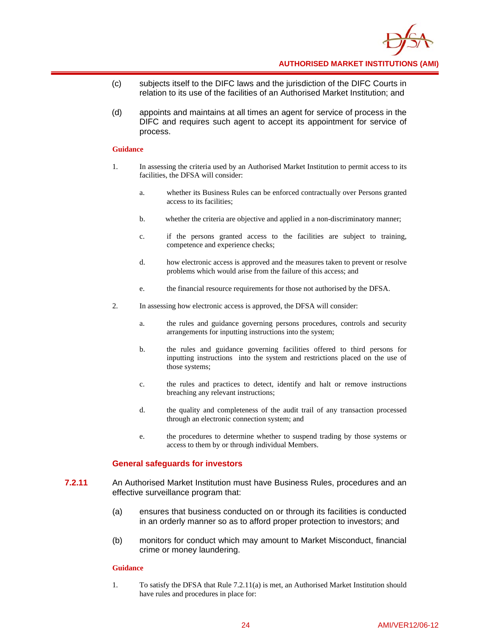

- (c) subjects itself to the DIFC laws and the jurisdiction of the DIFC Courts in relation to its use of the facilities of an Authorised Market Institution; and
- (d) appoints and maintains at all times an agent for service of process in the DIFC and requires such agent to accept its appointment for service of process.

#### **Guidance**

- 1. In assessing the criteria used by an Authorised Market Institution to permit access to its facilities, the DFSA will consider:
	- a. whether its Business Rules can be enforced contractually over Persons granted access to its facilities;
	- b. whether the criteria are objective and applied in a non-discriminatory manner;
	- c. if the persons granted access to the facilities are subject to training, competence and experience checks;
	- d. how electronic access is approved and the measures taken to prevent or resolve problems which would arise from the failure of this access; and
	- e. the financial resource requirements for those not authorised by the DFSA.
- 2. In assessing how electronic access is approved, the DFSA will consider:
	- a. the rules and guidance governing persons procedures, controls and security arrangements for inputting instructions into the system;
	- b. the rules and guidance governing facilities offered to third persons for inputting instructions into the system and restrictions placed on the use of those systems;
	- c. the rules and practices to detect, identify and halt or remove instructions breaching any relevant instructions;
	- d. the quality and completeness of the audit trail of any transaction processed through an electronic connection system; and
	- e. the procedures to determine whether to suspend trading by those systems or access to them by or through individual Members.

## **General safeguards for investors**

- **7.2.11** An Authorised Market Institution must have Business Rules, procedures and an effective surveillance program that:
	- (a) ensures that business conducted on or through its facilities is conducted in an orderly manner so as to afford proper protection to investors; and
	- (b) monitors for conduct which may amount to Market Misconduct, financial crime or money laundering.

## **Guidance**

1. To satisfy the DFSA that Rule 7.2.11(a) is met, an Authorised Market Institution should have rules and procedures in place for: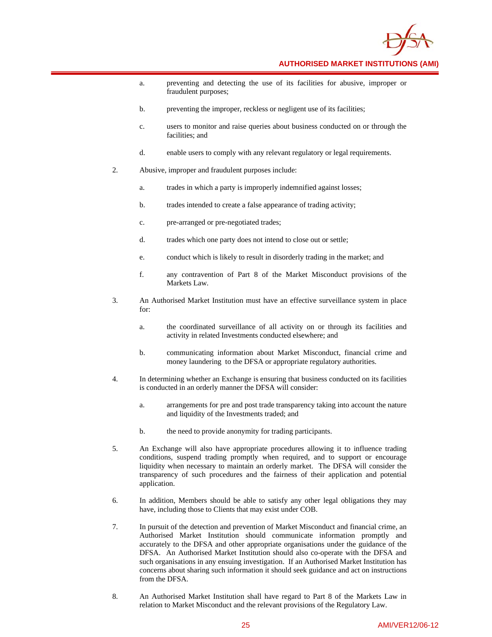

- a. preventing and detecting the use of its facilities for abusive, improper or fraudulent purposes;
- b. preventing the improper, reckless or negligent use of its facilities;
- c. users to monitor and raise queries about business conducted on or through the facilities; and
- d. enable users to comply with any relevant regulatory or legal requirements.
- 2. Abusive, improper and fraudulent purposes include:
	- a. trades in which a party is improperly indemnified against losses;
	- b. trades intended to create a false appearance of trading activity;
	- c. pre-arranged or pre-negotiated trades;
	- d. trades which one party does not intend to close out or settle;
	- e. conduct which is likely to result in disorderly trading in the market; and
	- f. any contravention of Part 8 of the Market Misconduct provisions of the Markets Law.
- 3. An Authorised Market Institution must have an effective surveillance system in place for:
	- a. the coordinated surveillance of all activity on or through its facilities and activity in related Investments conducted elsewhere; and
	- b. communicating information about Market Misconduct, financial crime and money laundering to the DFSA or appropriate regulatory authorities.
- 4. In determining whether an Exchange is ensuring that business conducted on its facilities is conducted in an orderly manner the DFSA will consider:
	- a. arrangements for pre and post trade transparency taking into account the nature and liquidity of the Investments traded; and
	- b. the need to provide anonymity for trading participants.
- 5. An Exchange will also have appropriate procedures allowing it to influence trading conditions, suspend trading promptly when required, and to support or encourage liquidity when necessary to maintain an orderly market. The DFSA will consider the transparency of such procedures and the fairness of their application and potential application.
- 6. In addition, Members should be able to satisfy any other legal obligations they may have, including those to Clients that may exist under COB.
- 7. In pursuit of the detection and prevention of Market Misconduct and financial crime, an Authorised Market Institution should communicate information promptly and accurately to the DFSA and other appropriate organisations under the guidance of the DFSA. An Authorised Market Institution should also co-operate with the DFSA and such organisations in any ensuing investigation. If an Authorised Market Institution has concerns about sharing such information it should seek guidance and act on instructions from the DFSA.
- 8. An Authorised Market Institution shall have regard to Part 8 of the Markets Law in relation to Market Misconduct and the relevant provisions of the Regulatory Law.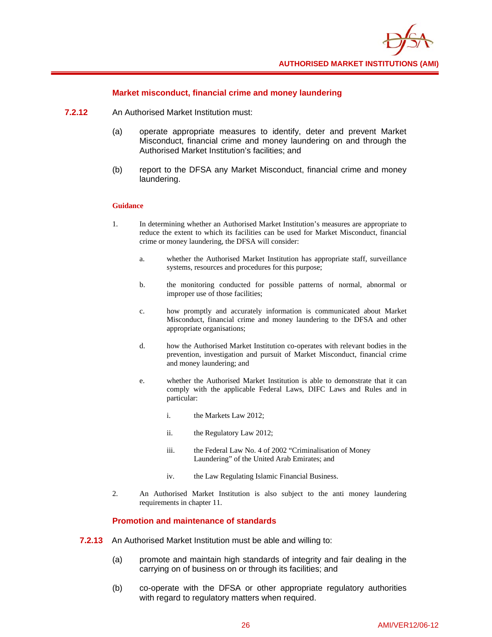

## **Market misconduct, financial crime and money laundering**

- **7.2.12** An Authorised Market Institution must:
	- (a) operate appropriate measures to identify, deter and prevent Market Misconduct, financial crime and money laundering on and through the Authorised Market Institution's facilities; and
	- (b) report to the DFSA any Market Misconduct, financial crime and money laundering.

## **Guidance**

- 1. In determining whether an Authorised Market Institution's measures are appropriate to reduce the extent to which its facilities can be used for Market Misconduct, financial crime or money laundering, the DFSA will consider:
	- a. whether the Authorised Market Institution has appropriate staff, surveillance systems, resources and procedures for this purpose;
	- b. the monitoring conducted for possible patterns of normal, abnormal or improper use of those facilities;
	- c. how promptly and accurately information is communicated about Market Misconduct, financial crime and money laundering to the DFSA and other appropriate organisations;
	- d. how the Authorised Market Institution co-operates with relevant bodies in the prevention, investigation and pursuit of Market Misconduct, financial crime and money laundering; and
	- e. whether the Authorised Market Institution is able to demonstrate that it can comply with the applicable Federal Laws, DIFC Laws and Rules and in particular:
		- i. the Markets Law 2012;
		- ii. the Regulatory Law 2012;
		- iii. the Federal Law No. 4 of 2002 "Criminalisation of Money Laundering" of the United Arab Emirates; and
		- iv. the Law Regulating Islamic Financial Business.
- 2. An Authorised Market Institution is also subject to the anti money laundering requirements in chapter 11.

## **Promotion and maintenance of standards**

- **7.2.13** An Authorised Market Institution must be able and willing to:
	- (a) promote and maintain high standards of integrity and fair dealing in the carrying on of business on or through its facilities; and
	- (b) co-operate with the DFSA or other appropriate regulatory authorities with regard to regulatory matters when required.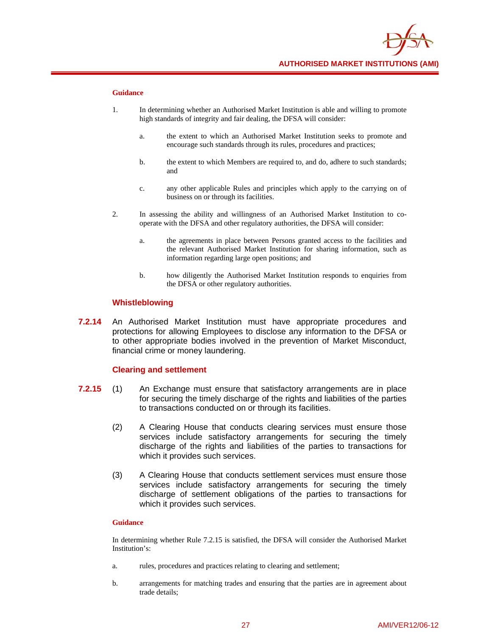

## **Guidance**

- 1. In determining whether an Authorised Market Institution is able and willing to promote high standards of integrity and fair dealing, the DFSA will consider:
	- a. the extent to which an Authorised Market Institution seeks to promote and encourage such standards through its rules, procedures and practices;
	- b. the extent to which Members are required to, and do, adhere to such standards; and
	- c. any other applicable Rules and principles which apply to the carrying on of business on or through its facilities.
- 2. In assessing the ability and willingness of an Authorised Market Institution to cooperate with the DFSA and other regulatory authorities, the DFSA will consider:
	- a. the agreements in place between Persons granted access to the facilities and the relevant Authorised Market Institution for sharing information, such as information regarding large open positions; and
	- b. how diligently the Authorised Market Institution responds to enquiries from the DFSA or other regulatory authorities.

## **Whistleblowing**

**7.2.14** An Authorised Market Institution must have appropriate procedures and protections for allowing Employees to disclose any information to the DFSA or to other appropriate bodies involved in the prevention of Market Misconduct, financial crime or money laundering.

## **Clearing and settlement**

- **7.2.15** (1) An Exchange must ensure that satisfactory arrangements are in place for securing the timely discharge of the rights and liabilities of the parties to transactions conducted on or through its facilities.
	- (2) A Clearing House that conducts clearing services must ensure those services include satisfactory arrangements for securing the timely discharge of the rights and liabilities of the parties to transactions for which it provides such services.
	- (3) A Clearing House that conducts settlement services must ensure those services include satisfactory arrangements for securing the timely discharge of settlement obligations of the parties to transactions for which it provides such services.

#### **Guidance**

In determining whether Rule 7.2.15 is satisfied, the DFSA will consider the Authorised Market Institution's:

- a. rules, procedures and practices relating to clearing and settlement;
- b. arrangements for matching trades and ensuring that the parties are in agreement about trade details;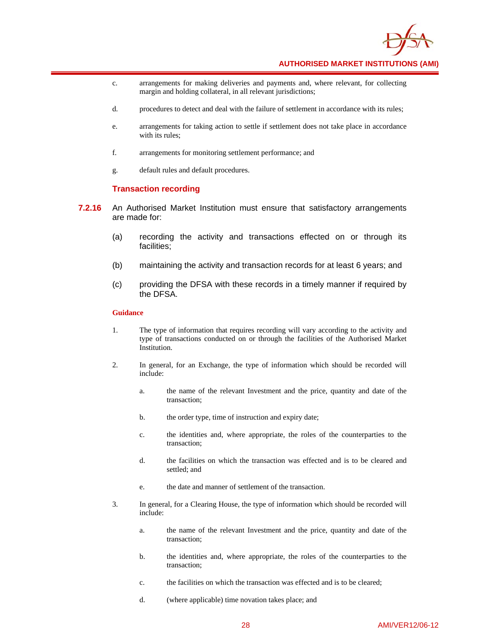

- c. arrangements for making deliveries and payments and, where relevant, for collecting margin and holding collateral, in all relevant jurisdictions;
- d. procedures to detect and deal with the failure of settlement in accordance with its rules;
- e. arrangements for taking action to settle if settlement does not take place in accordance with its rules;
- f. arrangements for monitoring settlement performance; and
- g. default rules and default procedures.

#### **Transaction recording**

- **7.2.16** An Authorised Market Institution must ensure that satisfactory arrangements are made for:
	- (a) recording the activity and transactions effected on or through its facilities;
	- (b) maintaining the activity and transaction records for at least 6 years; and
	- (c) providing the DFSA with these records in a timely manner if required by the DFSA.

- 1. The type of information that requires recording will vary according to the activity and type of transactions conducted on or through the facilities of the Authorised Market Institution.
- 2. In general, for an Exchange, the type of information which should be recorded will include:
	- a. the name of the relevant Investment and the price, quantity and date of the transaction;
	- b. the order type, time of instruction and expiry date;
	- c. the identities and, where appropriate, the roles of the counterparties to the transaction;
	- d. the facilities on which the transaction was effected and is to be cleared and settled; and
	- e. the date and manner of settlement of the transaction.
- 3. In general, for a Clearing House, the type of information which should be recorded will include:
	- a. the name of the relevant Investment and the price, quantity and date of the transaction;
	- b. the identities and, where appropriate, the roles of the counterparties to the transaction;
	- c. the facilities on which the transaction was effected and is to be cleared;
	- d. (where applicable) time novation takes place; and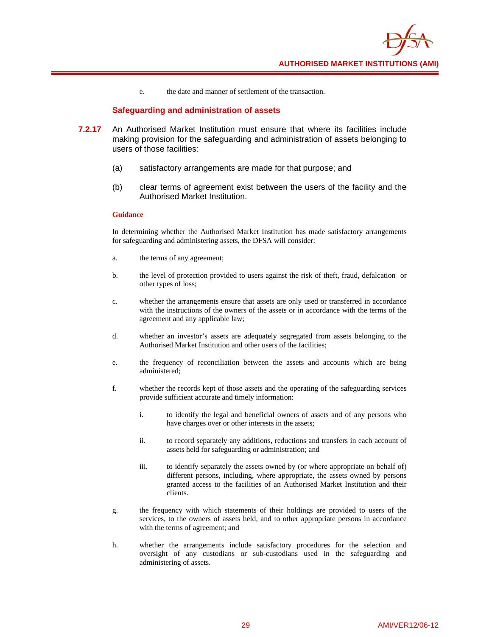

e. the date and manner of settlement of the transaction.

## **Safeguarding and administration of assets**

- **7.2.17** An Authorised Market Institution must ensure that where its facilities include making provision for the safeguarding and administration of assets belonging to users of those facilities:
	- (a) satisfactory arrangements are made for that purpose; and
	- (b) clear terms of agreement exist between the users of the facility and the Authorised Market Institution.

#### **Guidance**

In determining whether the Authorised Market Institution has made satisfactory arrangements for safeguarding and administering assets, the DFSA will consider:

- a. the terms of any agreement;
- b. the level of protection provided to users against the risk of theft, fraud, defalcation or other types of loss;
- c. whether the arrangements ensure that assets are only used or transferred in accordance with the instructions of the owners of the assets or in accordance with the terms of the agreement and any applicable law;
- d. whether an investor's assets are adequately segregated from assets belonging to the Authorised Market Institution and other users of the facilities;
- e. the frequency of reconciliation between the assets and accounts which are being administered;
- f. whether the records kept of those assets and the operating of the safeguarding services provide sufficient accurate and timely information:
	- i. to identify the legal and beneficial owners of assets and of any persons who have charges over or other interests in the assets;
	- ii. to record separately any additions, reductions and transfers in each account of assets held for safeguarding or administration; and
	- iii. to identify separately the assets owned by (or where appropriate on behalf of) different persons, including, where appropriate, the assets owned by persons granted access to the facilities of an Authorised Market Institution and their clients.
- g. the frequency with which statements of their holdings are provided to users of the services, to the owners of assets held, and to other appropriate persons in accordance with the terms of agreement; and
- h. whether the arrangements include satisfactory procedures for the selection and oversight of any custodians or sub-custodians used in the safeguarding and administering of assets.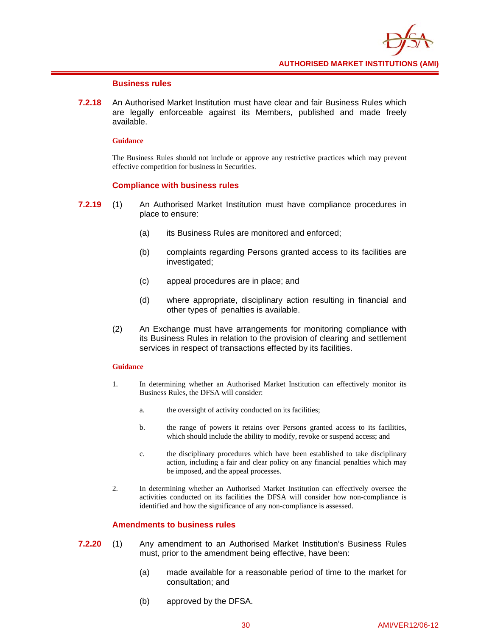

## **Business rules**

**7.2.18** An Authorised Market Institution must have clear and fair Business Rules which are legally enforceable against its Members, published and made freely available.

## **Guidance**

The Business Rules should not include or approve any restrictive practices which may prevent effective competition for business in Securities.

## **Compliance with business rules**

- **7.2.19** (1) An Authorised Market Institution must have compliance procedures in place to ensure:
	- (a) its Business Rules are monitored and enforced;
	- (b) complaints regarding Persons granted access to its facilities are investigated;
	- (c) appeal procedures are in place; and
	- (d) where appropriate, disciplinary action resulting in financial and other types of penalties is available.
	- (2) An Exchange must have arrangements for monitoring compliance with its Business Rules in relation to the provision of clearing and settlement services in respect of transactions effected by its facilities.

## **Guidance**

- 1. In determining whether an Authorised Market Institution can effectively monitor its Business Rules, the DFSA will consider:
	- a. the oversight of activity conducted on its facilities;
	- b. the range of powers it retains over Persons granted access to its facilities, which should include the ability to modify, revoke or suspend access; and
	- c. the disciplinary procedures which have been established to take disciplinary action, including a fair and clear policy on any financial penalties which may be imposed, and the appeal processes.
- 2. In determining whether an Authorised Market Institution can effectively oversee the activities conducted on its facilities the DFSA will consider how non-compliance is identified and how the significance of any non-compliance is assessed.

## **Amendments to business rules**

- **7.2.20** (1) Any amendment to an Authorised Market Institution's Business Rules must, prior to the amendment being effective, have been:
	- (a) made available for a reasonable period of time to the market for consultation; and
	- (b) approved by the DFSA.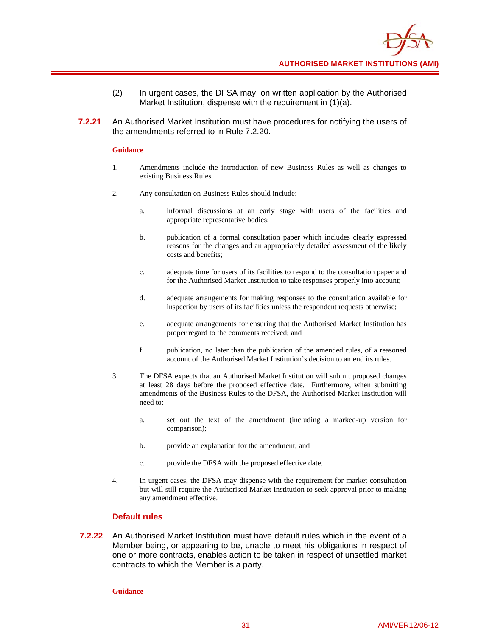- (2) In urgent cases, the DFSA may, on written application by the Authorised Market Institution, dispense with the requirement in (1)(a).
- **7.2.21** An Authorised Market Institution must have procedures for notifying the users of the amendments referred to in Rule 7.2.20.

## **Guidance**

- 1. Amendments include the introduction of new Business Rules as well as changes to existing Business Rules.
- 2. Any consultation on Business Rules should include:
	- a. informal discussions at an early stage with users of the facilities and appropriate representative bodies;
	- b. publication of a formal consultation paper which includes clearly expressed reasons for the changes and an appropriately detailed assessment of the likely costs and benefits;
	- c. adequate time for users of its facilities to respond to the consultation paper and for the Authorised Market Institution to take responses properly into account;
	- d. adequate arrangements for making responses to the consultation available for inspection by users of its facilities unless the respondent requests otherwise;
	- e. adequate arrangements for ensuring that the Authorised Market Institution has proper regard to the comments received; and
	- f. publication, no later than the publication of the amended rules, of a reasoned account of the Authorised Market Institution's decision to amend its rules.
- 3. The DFSA expects that an Authorised Market Institution will submit proposed changes at least 28 days before the proposed effective date. Furthermore, when submitting amendments of the Business Rules to the DFSA, the Authorised Market Institution will need to:
	- a. set out the text of the amendment (including a marked-up version for comparison);
	- b. provide an explanation for the amendment; and
	- c. provide the DFSA with the proposed effective date.
- 4. In urgent cases, the DFSA may dispense with the requirement for market consultation but will still require the Authorised Market Institution to seek approval prior to making any amendment effective.

## **Default rules**

**7.2.22** An Authorised Market Institution must have default rules which in the event of a Member being, or appearing to be, unable to meet his obligations in respect of one or more contracts, enables action to be taken in respect of unsettled market contracts to which the Member is a party.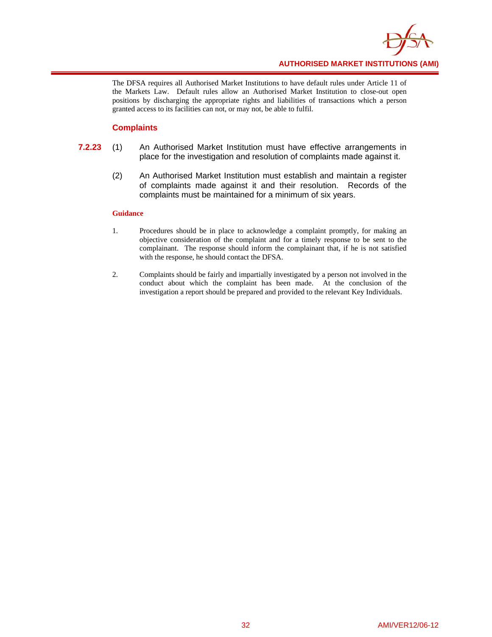

The DFSA requires all Authorised Market Institutions to have default rules under Article 11 of the Markets Law. Default rules allow an Authorised Market Institution to close-out open positions by discharging the appropriate rights and liabilities of transactions which a person granted access to its facilities can not, or may not, be able to fulfil.

## **Complaints**

- **7.2.23** (1) An Authorised Market Institution must have effective arrangements in place for the investigation and resolution of complaints made against it.
	- (2) An Authorised Market Institution must establish and maintain a register of complaints made against it and their resolution. Records of the complaints must be maintained for a minimum of six years.

- 1. Procedures should be in place to acknowledge a complaint promptly, for making an objective consideration of the complaint and for a timely response to be sent to the complainant. The response should inform the complainant that, if he is not satisfied with the response, he should contact the DFSA.
- 2. Complaints should be fairly and impartially investigated by a person not involved in the conduct about which the complaint has been made. At the conclusion of the investigation a report should be prepared and provided to the relevant Key Individuals.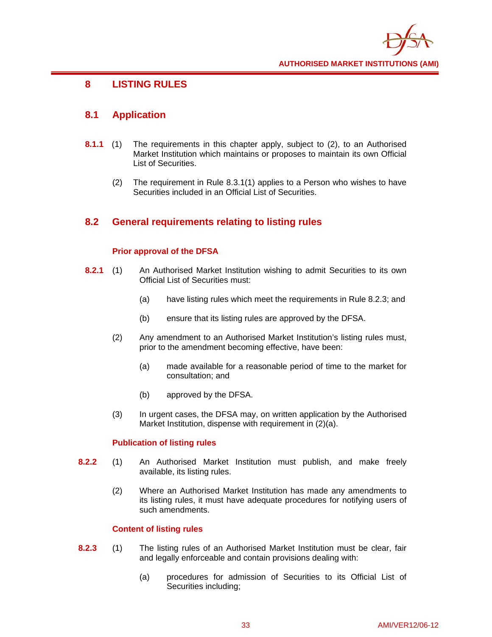

# **8 LISTING RULES**

# **8.1 Application**

- **8.1.1** (1) The requirements in this chapter apply, subject to (2), to an Authorised Market Institution which maintains or proposes to maintain its own Official List of Securities.
	- (2) The requirement in Rule 8.3.1(1) applies to a Person who wishes to have Securities included in an Official List of Securities.

# **8.2 General requirements relating to listing rules**

### **Prior approval of the DFSA**

- **8.2.1** (1) An Authorised Market Institution wishing to admit Securities to its own Official List of Securities must:
	- (a) have listing rules which meet the requirements in Rule 8.2.3; and
	- (b) ensure that its listing rules are approved by the DFSA.
	- (2) Any amendment to an Authorised Market Institution's listing rules must, prior to the amendment becoming effective, have been:
		- (a) made available for a reasonable period of time to the market for consultation; and
		- (b) approved by the DFSA.
	- (3) In urgent cases, the DFSA may, on written application by the Authorised Market Institution, dispense with requirement in (2)(a).

### **Publication of listing rules**

- **8.2.2** (1) An Authorised Market Institution must publish, and make freely available, its listing rules.
	- (2) Where an Authorised Market Institution has made any amendments to its listing rules, it must have adequate procedures for notifying users of such amendments.

### **Content of listing rules**

- **8.2.3** (1) The listing rules of an Authorised Market Institution must be clear, fair and legally enforceable and contain provisions dealing with:
	- (a) procedures for admission of Securities to its Official List of Securities including;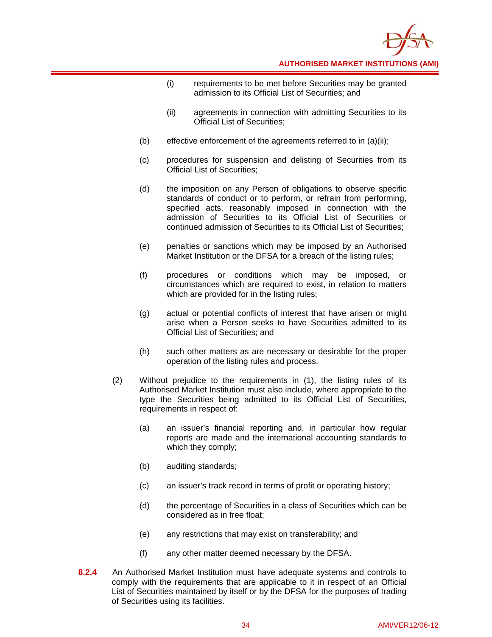

- (i) requirements to be met before Securities may be granted admission to its Official List of Securities; and
- (ii) agreements in connection with admitting Securities to its Official List of Securities;
- (b) effective enforcement of the agreements referred to in (a)(ii);
- (c) procedures for suspension and delisting of Securities from its Official List of Securities;
- (d) the imposition on any Person of obligations to observe specific standards of conduct or to perform, or refrain from performing, specified acts, reasonably imposed in connection with the admission of Securities to its Official List of Securities or continued admission of Securities to its Official List of Securities;
- (e) penalties or sanctions which may be imposed by an Authorised Market Institution or the DFSA for a breach of the listing rules;
- (f) procedures or conditions which may be imposed, or circumstances which are required to exist, in relation to matters which are provided for in the listing rules;
- (g) actual or potential conflicts of interest that have arisen or might arise when a Person seeks to have Securities admitted to its Official List of Securities; and
- (h) such other matters as are necessary or desirable for the proper operation of the listing rules and process.
- (2) Without prejudice to the requirements in (1), the listing rules of its Authorised Market Institution must also include, where appropriate to the type the Securities being admitted to its Official List of Securities, requirements in respect of:
	- (a) an issuer's financial reporting and, in particular how regular reports are made and the international accounting standards to which they comply;
	- (b) auditing standards;
	- (c) an issuer's track record in terms of profit or operating history;
	- (d) the percentage of Securities in a class of Securities which can be considered as in free float;
	- (e) any restrictions that may exist on transferability; and
	- (f) any other matter deemed necessary by the DFSA.
- **8.2.4** An Authorised Market Institution must have adequate systems and controls to comply with the requirements that are applicable to it in respect of an Official List of Securities maintained by itself or by the DFSA for the purposes of trading of Securities using its facilities.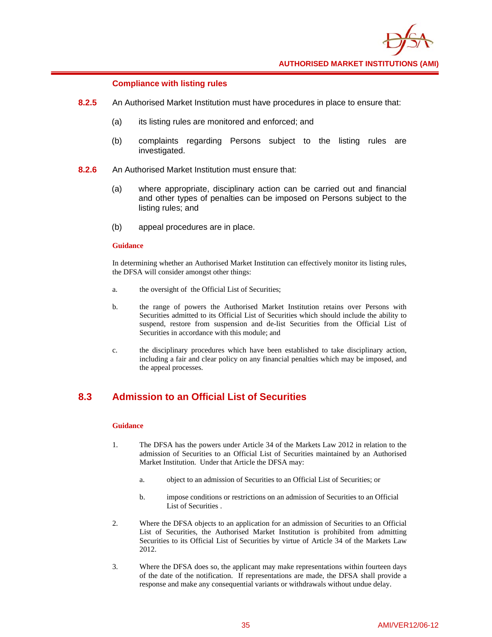

#### **Compliance with listing rules**

- **8.2.5** An Authorised Market Institution must have procedures in place to ensure that:
	- (a) its listing rules are monitored and enforced; and
	- (b) complaints regarding Persons subject to the listing rules are investigated.
- **8.2.6** An Authorised Market Institution must ensure that:
	- (a) where appropriate, disciplinary action can be carried out and financial and other types of penalties can be imposed on Persons subject to the listing rules; and
	- (b) appeal procedures are in place.

#### **Guidance**

In determining whether an Authorised Market Institution can effectively monitor its listing rules, the DFSA will consider amongst other things:

- a. the oversight of the Official List of Securities;
- b. the range of powers the Authorised Market Institution retains over Persons with Securities admitted to its Official List of Securities which should include the ability to suspend, restore from suspension and de-list Securities from the Official List of Securities in accordance with this module; and
- c. the disciplinary procedures which have been established to take disciplinary action, including a fair and clear policy on any financial penalties which may be imposed, and the appeal processes.

### **8.3 Admission to an Official List of Securities**

- 1. The DFSA has the powers under Article 34 of the Markets Law 2012 in relation to the admission of Securities to an Official List of Securities maintained by an Authorised Market Institution. Under that Article the DFSA may:
	- a. object to an admission of Securities to an Official List of Securities; or
	- b. impose conditions or restrictions on an admission of Securities to an Official List of Securities .
- 2. Where the DFSA objects to an application for an admission of Securities to an Official List of Securities, the Authorised Market Institution is prohibited from admitting Securities to its Official List of Securities by virtue of Article 34 of the Markets Law 2012.
- 3. Where the DFSA does so, the applicant may make representations within fourteen days of the date of the notification. If representations are made, the DFSA shall provide a response and make any consequential variants or withdrawals without undue delay.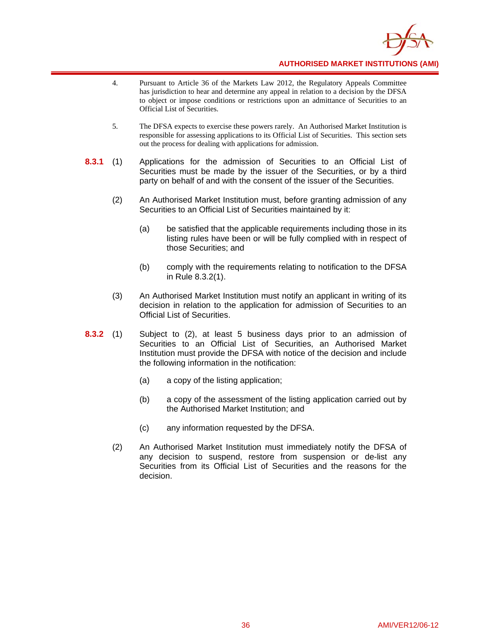

- 4. Pursuant to Article 36 of the Markets Law 2012, the Regulatory Appeals Committee has jurisdiction to hear and determine any appeal in relation to a decision by the DFSA to object or impose conditions or restrictions upon an admittance of Securities to an Official List of Securities.
- 5. The DFSA expects to exercise these powers rarely. An Authorised Market Institution is responsible for assessing applications to its Official List of Securities. This section sets out the process for dealing with applications for admission.
- **8.3.1** (1) Applications for the admission of Securities to an Official List of Securities must be made by the issuer of the Securities, or by a third party on behalf of and with the consent of the issuer of the Securities.
	- (2) An Authorised Market Institution must, before granting admission of any Securities to an Official List of Securities maintained by it:
		- (a) be satisfied that the applicable requirements including those in its listing rules have been or will be fully complied with in respect of those Securities; and
		- (b) comply with the requirements relating to notification to the DFSA in Rule 8.3.2(1).
	- (3) An Authorised Market Institution must notify an applicant in writing of its decision in relation to the application for admission of Securities to an Official List of Securities.
- **8.3.2** (1) Subject to (2), at least 5 business days prior to an admission of Securities to an Official List of Securities, an Authorised Market Institution must provide the DFSA with notice of the decision and include the following information in the notification:
	- (a) a copy of the listing application;
	- (b) a copy of the assessment of the listing application carried out by the Authorised Market Institution; and
	- (c) any information requested by the DFSA.
	- (2) An Authorised Market Institution must immediately notify the DFSA of any decision to suspend, restore from suspension or de-list any Securities from its Official List of Securities and the reasons for the decision.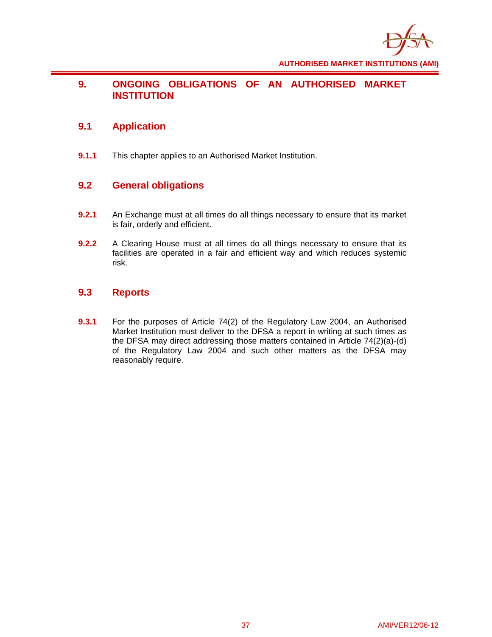

### **9. ONGOING OBLIGATIONS OF AN AUTHORISED MARKET INSTITUTION**

# **9.1 Application**

**9.1.1** This chapter applies to an Authorised Market Institution.

### **9.2 General obligations**

- **9.2.1** An Exchange must at all times do all things necessary to ensure that its market is fair, orderly and efficient.
- **9.2.2** A Clearing House must at all times do all things necessary to ensure that its facilities are operated in a fair and efficient way and which reduces systemic risk.

# **9.3 Reports**

**9.3.1** For the purposes of Article 74(2) of the Regulatory Law 2004, an Authorised Market Institution must deliver to the DFSA a report in writing at such times as the DFSA may direct addressing those matters contained in Article 74(2)(a)-(d) of the Regulatory Law 2004 and such other matters as the DFSA may reasonably require.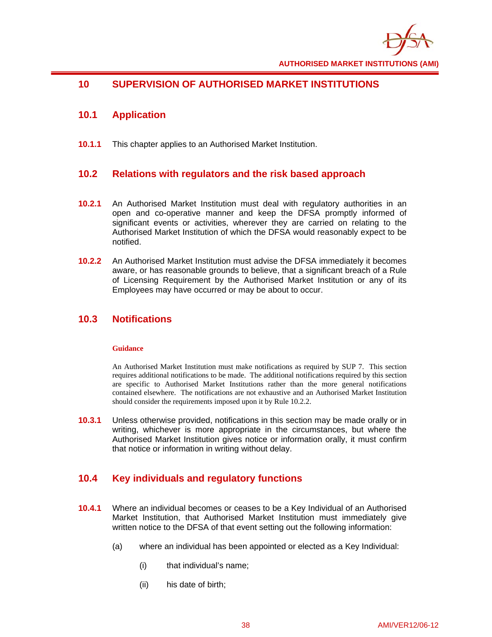

# **10 SUPERVISION OF AUTHORISED MARKET INSTITUTIONS**

# **10.1 Application**

**10.1.1** This chapter applies to an Authorised Market Institution.

# **10.2 Relations with regulators and the risk based approach**

- **10.2.1** An Authorised Market Institution must deal with regulatory authorities in an open and co-operative manner and keep the DFSA promptly informed of significant events or activities, wherever they are carried on relating to the Authorised Market Institution of which the DFSA would reasonably expect to be notified.
- **10.2.2** An Authorised Market Institution must advise the DFSA immediately it becomes aware, or has reasonable grounds to believe, that a significant breach of a Rule of Licensing Requirement by the Authorised Market Institution or any of its Employees may have occurred or may be about to occur.

# **10.3 Notifications**

### **Guidance**

An Authorised Market Institution must make notifications as required by SUP 7. This section requires additional notifications to be made. The additional notifications required by this section are specific to Authorised Market Institutions rather than the more general notifications contained elsewhere. The notifications are not exhaustive and an Authorised Market Institution should consider the requirements imposed upon it by Rule 10.2.2.

**10.3.1** Unless otherwise provided, notifications in this section may be made orally or in writing, whichever is more appropriate in the circumstances, but where the Authorised Market Institution gives notice or information orally, it must confirm that notice or information in writing without delay.

# **10.4 Key individuals and regulatory functions**

- **10.4.1** Where an individual becomes or ceases to be a Key Individual of an Authorised Market Institution, that Authorised Market Institution must immediately give written notice to the DFSA of that event setting out the following information:
	- (a) where an individual has been appointed or elected as a Key Individual:
		- (i) that individual's name;
		- (ii) his date of birth;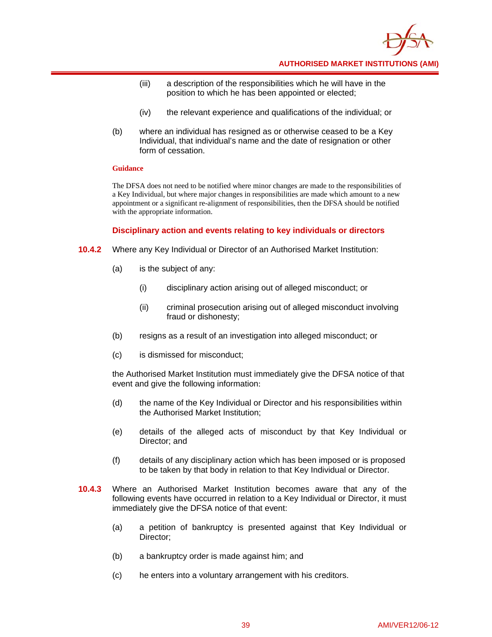

- (iii) a description of the responsibilities which he will have in the position to which he has been appointed or elected;
- (iv) the relevant experience and qualifications of the individual; or
- (b) where an individual has resigned as or otherwise ceased to be a Key Individual, that individual's name and the date of resignation or other form of cessation.

#### **Guidance**

The DFSA does not need to be notified where minor changes are made to the responsibilities of a Key Individual, but where major changes in responsibilities are made which amount to a new appointment or a significant re-alignment of responsibilities, then the DFSA should be notified with the appropriate information.

### **Disciplinary action and events relating to key individuals or directors**

- **10.4.2** Where any Key Individual or Director of an Authorised Market Institution:
	- (a) is the subject of any:
		- (i) disciplinary action arising out of alleged misconduct; or
		- (ii) criminal prosecution arising out of alleged misconduct involving fraud or dishonesty;
	- (b) resigns as a result of an investigation into alleged misconduct; or
	- (c) is dismissed for misconduct;

the Authorised Market Institution must immediately give the DFSA notice of that event and give the following information:

- (d) the name of the Key Individual or Director and his responsibilities within the Authorised Market Institution;
- (e) details of the alleged acts of misconduct by that Key Individual or Director; and
- (f) details of any disciplinary action which has been imposed or is proposed to be taken by that body in relation to that Key Individual or Director.
- **10.4.3** Where an Authorised Market Institution becomes aware that any of the following events have occurred in relation to a Key Individual or Director, it must immediately give the DFSA notice of that event:
	- (a) a petition of bankruptcy is presented against that Key Individual or Director;
	- (b) a bankruptcy order is made against him; and
	- (c) he enters into a voluntary arrangement with his creditors.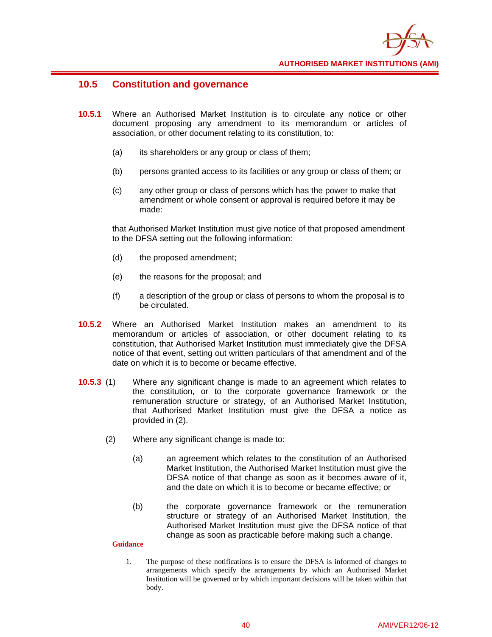

### **10.5 Constitution and governance**

- **10.5.1** Where an Authorised Market Institution is to circulate any notice or other document proposing any amendment to its memorandum or articles of association, or other document relating to its constitution, to:
	- (a) its shareholders or any group or class of them;
	- (b) persons granted access to its facilities or any group or class of them; or
	- (c) any other group or class of persons which has the power to make that amendment or whole consent or approval is required before it may be made:

that Authorised Market Institution must give notice of that proposed amendment to the DFSA setting out the following information:

- (d) the proposed amendment;
- (e) the reasons for the proposal; and
- (f) a description of the group or class of persons to whom the proposal is to be circulated.
- **10.5.2** Where an Authorised Market Institution makes an amendment to its memorandum or articles of association, or other document relating to its constitution, that Authorised Market Institution must immediately give the DFSA notice of that event, setting out written particulars of that amendment and of the date on which it is to become or became effective.
- **10.5.3** (1) Where any significant change is made to an agreement which relates to the constitution, or to the corporate governance framework or the remuneration structure or strategy, of an Authorised Market Institution, that Authorised Market Institution must give the DFSA a notice as provided in (2).
	- (2) Where any significant change is made to:
		- (a) an agreement which relates to the constitution of an Authorised Market Institution, the Authorised Market Institution must give the DFSA notice of that change as soon as it becomes aware of it, and the date on which it is to become or became effective; or
		- (b) the corporate governance framework or the remuneration structure or strategy of an Authorised Market Institution, the Authorised Market Institution must give the DFSA notice of that change as soon as practicable before making such a change.

### **Guidance**

1. The purpose of these notifications is to ensure the DFSA is informed of changes to arrangements which specify the arrangements by which an Authorised Market Institution will be governed or by which important decisions will be taken within that body.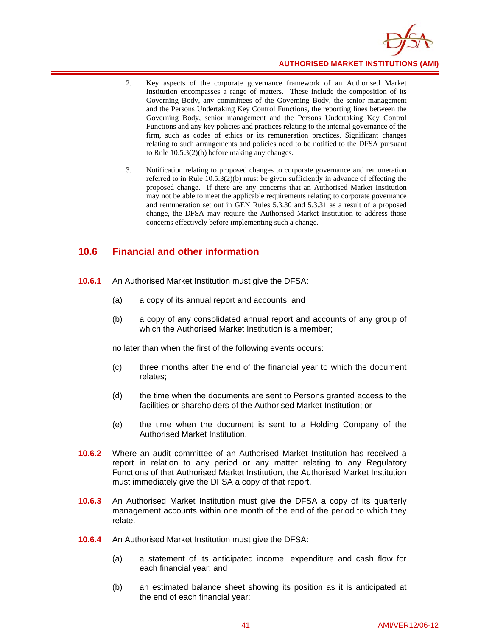

- 2. Key aspects of the corporate governance framework of an Authorised Market Institution encompasses a range of matters. These include the composition of its Governing Body, any committees of the Governing Body, the senior management and the Persons Undertaking Key Control Functions, the reporting lines between the Governing Body, senior management and the Persons Undertaking Key Control Functions and any key policies and practices relating to the internal governance of the firm, such as codes of ethics or its remuneration practices. Significant changes relating to such arrangements and policies need to be notified to the DFSA pursuant to Rule 10.5.3(2)(b) before making any changes.
- 3. Notification relating to proposed changes to corporate governance and remuneration referred to in Rule 10.5.3(2)(b) must be given sufficiently in advance of effecting the proposed change. If there are any concerns that an Authorised Market Institution may not be able to meet the applicable requirements relating to corporate governance and remuneration set out in GEN Rules 5.3.30 and 5.3.31 as a result of a proposed change, the DFSA may require the Authorised Market Institution to address those concerns effectively before implementing such a change.

### **10.6 Financial and other information**

- **10.6.1** An Authorised Market Institution must give the DFSA:
	- (a) a copy of its annual report and accounts; and
	- (b) a copy of any consolidated annual report and accounts of any group of which the Authorised Market Institution is a member;

no later than when the first of the following events occurs:

- (c) three months after the end of the financial year to which the document relates;
- (d) the time when the documents are sent to Persons granted access to the facilities or shareholders of the Authorised Market Institution; or
- (e) the time when the document is sent to a Holding Company of the Authorised Market Institution.
- **10.6.2** Where an audit committee of an Authorised Market Institution has received a report in relation to any period or any matter relating to any Regulatory Functions of that Authorised Market Institution, the Authorised Market Institution must immediately give the DFSA a copy of that report.
- **10.6.3** An Authorised Market Institution must give the DFSA a copy of its quarterly management accounts within one month of the end of the period to which they relate.
- **10.6.4** An Authorised Market Institution must give the DFSA:
	- (a) a statement of its anticipated income, expenditure and cash flow for each financial year; and
	- (b) an estimated balance sheet showing its position as it is anticipated at the end of each financial year;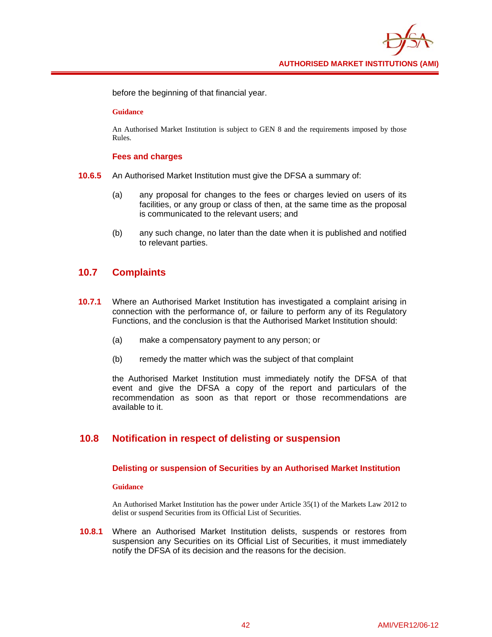

before the beginning of that financial year.

#### **Guidance**

An Authorised Market Institution is subject to GEN 8 and the requirements imposed by those Rules.

#### **Fees and charges**

- **10.6.5** An Authorised Market Institution must give the DFSA a summary of:
	- (a) any proposal for changes to the fees or charges levied on users of its facilities, or any group or class of then, at the same time as the proposal is communicated to the relevant users; and
	- (b) any such change, no later than the date when it is published and notified to relevant parties.

### **10.7 Complaints**

- **10.7.1** Where an Authorised Market Institution has investigated a complaint arising in connection with the performance of, or failure to perform any of its Regulatory Functions, and the conclusion is that the Authorised Market Institution should:
	- (a) make a compensatory payment to any person; or
	- (b) remedy the matter which was the subject of that complaint

the Authorised Market Institution must immediately notify the DFSA of that event and give the DFSA a copy of the report and particulars of the recommendation as soon as that report or those recommendations are available to it.

### **10.8 Notification in respect of delisting or suspension**

#### **Delisting or suspension of Securities by an Authorised Market Institution**

#### **Guidance**

An Authorised Market Institution has the power under Article 35(1) of the Markets Law 2012 to delist or suspend Securities from its Official List of Securities.

**10.8.1** Where an Authorised Market Institution delists, suspends or restores from suspension any Securities on its Official List of Securities, it must immediately notify the DFSA of its decision and the reasons for the decision.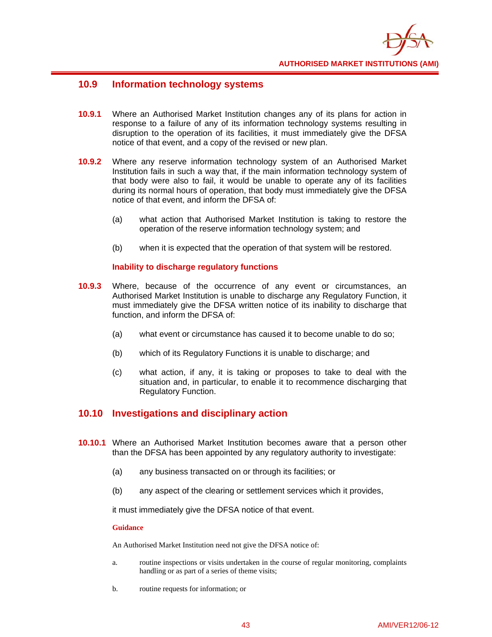

### **10.9 Information technology systems**

- **10.9.1** Where an Authorised Market Institution changes any of its plans for action in response to a failure of any of its information technology systems resulting in disruption to the operation of its facilities, it must immediately give the DFSA notice of that event, and a copy of the revised or new plan.
- **10.9.2** Where any reserve information technology system of an Authorised Market Institution fails in such a way that, if the main information technology system of that body were also to fail, it would be unable to operate any of its facilities during its normal hours of operation, that body must immediately give the DFSA notice of that event, and inform the DFSA of:
	- (a) what action that Authorised Market Institution is taking to restore the operation of the reserve information technology system; and
	- (b) when it is expected that the operation of that system will be restored.

### **Inability to discharge regulatory functions**

- **10.9.3** Where, because of the occurrence of any event or circumstances, an Authorised Market Institution is unable to discharge any Regulatory Function, it must immediately give the DFSA written notice of its inability to discharge that function, and inform the DFSA of:
	- (a) what event or circumstance has caused it to become unable to do so;
	- (b) which of its Regulatory Functions it is unable to discharge; and
	- (c) what action, if any, it is taking or proposes to take to deal with the situation and, in particular, to enable it to recommence discharging that Regulatory Function.

### **10.10 Investigations and disciplinary action**

- **10.10.1** Where an Authorised Market Institution becomes aware that a person other than the DFSA has been appointed by any regulatory authority to investigate:
	- (a) any business transacted on or through its facilities; or
	- (b) any aspect of the clearing or settlement services which it provides,

it must immediately give the DFSA notice of that event.

#### **Guidance**

An Authorised Market Institution need not give the DFSA notice of:

- a. routine inspections or visits undertaken in the course of regular monitoring, complaints handling or as part of a series of theme visits;
- b. routine requests for information; or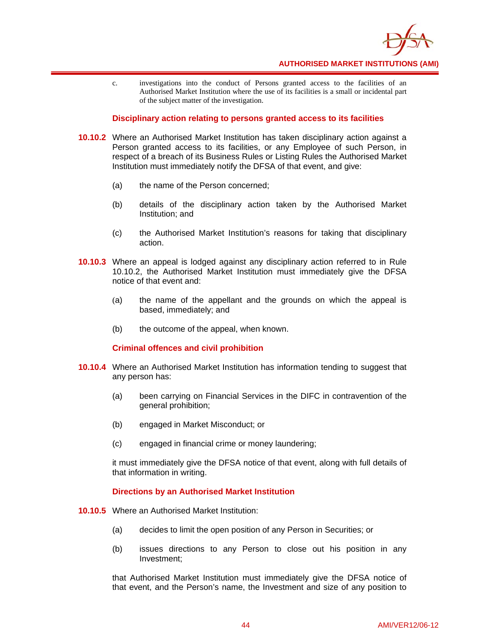

c. investigations into the conduct of Persons granted access to the facilities of an Authorised Market Institution where the use of its facilities is a small or incidental part of the subject matter of the investigation.

#### **Disciplinary action relating to persons granted access to its facilities**

- **10.10.2** Where an Authorised Market Institution has taken disciplinary action against a Person granted access to its facilities, or any Employee of such Person, in respect of a breach of its Business Rules or Listing Rules the Authorised Market Institution must immediately notify the DFSA of that event, and give:
	- (a) the name of the Person concerned;
	- (b) details of the disciplinary action taken by the Authorised Market Institution; and
	- (c) the Authorised Market Institution's reasons for taking that disciplinary action.
- **10.10.3** Where an appeal is lodged against any disciplinary action referred to in Rule 10.10.2, the Authorised Market Institution must immediately give the DFSA notice of that event and:
	- (a) the name of the appellant and the grounds on which the appeal is based, immediately; and
	- (b) the outcome of the appeal, when known.

#### **Criminal offences and civil prohibition**

- **10.10.4** Where an Authorised Market Institution has information tending to suggest that any person has:
	- (a) been carrying on Financial Services in the DIFC in contravention of the general prohibition;
	- (b) engaged in Market Misconduct; or
	- (c) engaged in financial crime or money laundering;

it must immediately give the DFSA notice of that event, along with full details of that information in writing.

#### **Directions by an Authorised Market Institution**

- **10.10.5** Where an Authorised Market Institution:
	- (a) decides to limit the open position of any Person in Securities; or
	- (b) issues directions to any Person to close out his position in any Investment;

that Authorised Market Institution must immediately give the DFSA notice of that event, and the Person's name, the Investment and size of any position to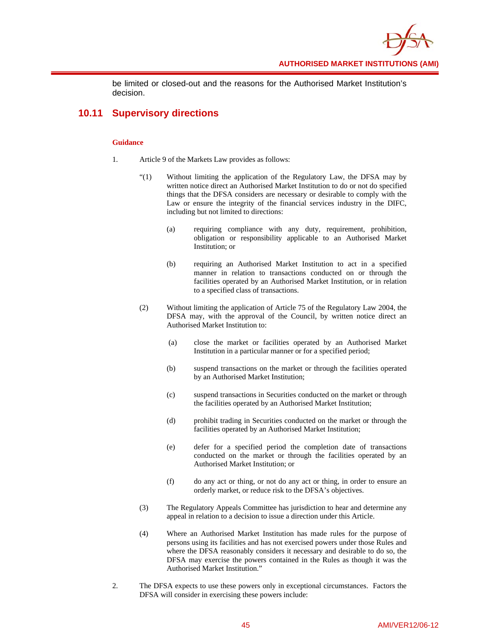

be limited or closed-out and the reasons for the Authorised Market Institution's decision.

# **10.11 Supervisory directions**

- 1. Article 9 of the Markets Law provides as follows:
	- "(1) Without limiting the application of the Regulatory Law, the DFSA may by written notice direct an Authorised Market Institution to do or not do specified things that the DFSA considers are necessary or desirable to comply with the Law or ensure the integrity of the financial services industry in the DIFC, including but not limited to directions:
		- (a) requiring compliance with any duty, requirement, prohibition, obligation or responsibility applicable to an Authorised Market Institution; or
		- (b) requiring an Authorised Market Institution to act in a specified manner in relation to transactions conducted on or through the facilities operated by an Authorised Market Institution, or in relation to a specified class of transactions.
	- (2) Without limiting the application of Article 75 of the Regulatory Law 2004, the DFSA may, with the approval of the Council, by written notice direct an Authorised Market Institution to:
		- (a) close the market or facilities operated by an Authorised Market Institution in a particular manner or for a specified period;
		- (b) suspend transactions on the market or through the facilities operated by an Authorised Market Institution;
		- (c) suspend transactions in Securities conducted on the market or through the facilities operated by an Authorised Market Institution;
		- (d) prohibit trading in Securities conducted on the market or through the facilities operated by an Authorised Market Institution;
		- (e) defer for a specified period the completion date of transactions conducted on the market or through the facilities operated by an Authorised Market Institution; or
		- (f) do any act or thing, or not do any act or thing, in order to ensure an orderly market, or reduce risk to the DFSA's objectives.
	- (3) The Regulatory Appeals Committee has jurisdiction to hear and determine any appeal in relation to a decision to issue a direction under this Article.
	- (4) Where an Authorised Market Institution has made rules for the purpose of persons using its facilities and has not exercised powers under those Rules and where the DFSA reasonably considers it necessary and desirable to do so, the DFSA may exercise the powers contained in the Rules as though it was the Authorised Market Institution."
- 2. The DFSA expects to use these powers only in exceptional circumstances. Factors the DFSA will consider in exercising these powers include: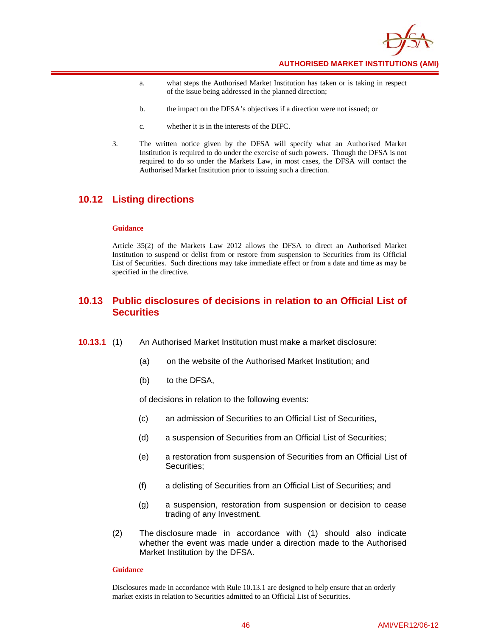

- a. what steps the Authorised Market Institution has taken or is taking in respect of the issue being addressed in the planned direction;
- b. the impact on the DFSA's objectives if a direction were not issued; or
- c. whether it is in the interests of the DIFC.
- 3. The written notice given by the DFSA will specify what an Authorised Market Institution is required to do under the exercise of such powers. Though the DFSA is not required to do so under the Markets Law, in most cases, the DFSA will contact the Authorised Market Institution prior to issuing such a direction.

### **10.12 Listing directions**

#### **Guidance**

Article 35(2) of the Markets Law 2012 allows the DFSA to direct an Authorised Market Institution to suspend or delist from or restore from suspension to Securities from its Official List of Securities. Such directions may take immediate effect or from a date and time as may be specified in the directive.

### **10.13 Public disclosures of decisions in relation to an Official List of Securities**

- **10.13.1** (1) An Authorised Market Institution must make a market disclosure:
	- (a) on the website of the Authorised Market Institution; and
	- (b) to the DFSA,

of decisions in relation to the following events:

- (c) an admission of Securities to an Official List of Securities,
- (d) a suspension of Securities from an Official List of Securities;
- (e) a restoration from suspension of Securities from an Official List of Securities;
- (f) a delisting of Securities from an Official List of Securities; and
- (g) a suspension, restoration from suspension or decision to cease trading of any Investment.
- (2) The disclosure made in accordance with (1) should also indicate whether the event was made under a direction made to the Authorised Market Institution by the DFSA.

#### **Guidance**

Disclosures made in accordance with Rule 10.13.1 are designed to help ensure that an orderly market exists in relation to Securities admitted to an Official List of Securities.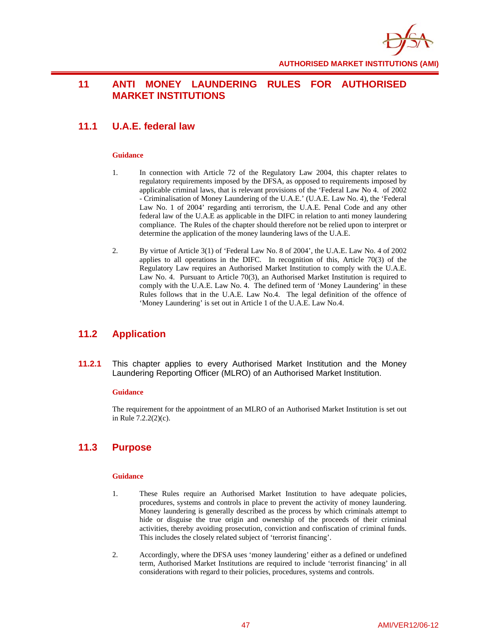

### **11 ANTI MONEY LAUNDERING RULES FOR AUTHORISED MARKET INSTITUTIONS**

# **11.1 U.A.E. federal law**

#### **Guidance**

- 1. In connection with Article 72 of the Regulatory Law 2004, this chapter relates to regulatory requirements imposed by the DFSA, as opposed to requirements imposed by applicable criminal laws, that is relevant provisions of the 'Federal Law No 4. of 2002 - Criminalisation of Money Laundering of the U.A.E.' (U.A.E. Law No. 4), the 'Federal Law No. 1 of 2004' regarding anti terrorism, the U.A.E. Penal Code and any other federal law of the U.A.E as applicable in the DIFC in relation to anti money laundering compliance. The Rules of the chapter should therefore not be relied upon to interpret or determine the application of the money laundering laws of the U.A.E.
- 2. By virtue of Article 3(1) of 'Federal Law No. 8 of 2004', the U.A.E. Law No. 4 of 2002 applies to all operations in the DIFC. In recognition of this, Article 70(3) of the Regulatory Law requires an Authorised Market Institution to comply with the U.A.E. Law No. 4. Pursuant to Article 70(3), an Authorised Market Institution is required to comply with the U.A.E. Law No. 4. The defined term of 'Money Laundering' in these Rules follows that in the U.A.E. Law No.4. The legal definition of the offence of 'Money Laundering' is set out in Article 1 of the U.A.E. Law No.4.

### **11.2 Application**

**11.2.1** This chapter applies to every Authorised Market Institution and the Money Laundering Reporting Officer (MLRO) of an Authorised Market Institution.

#### **Guidance**

The requirement for the appointment of an MLRO of an Authorised Market Institution is set out in Rule 7.2.2(2)(c).

### **11.3 Purpose**

- 1. These Rules require an Authorised Market Institution to have adequate policies, procedures, systems and controls in place to prevent the activity of money laundering. Money laundering is generally described as the process by which criminals attempt to hide or disguise the true origin and ownership of the proceeds of their criminal activities, thereby avoiding prosecution, conviction and confiscation of criminal funds. This includes the closely related subject of 'terrorist financing'.
- 2. Accordingly, where the DFSA uses 'money laundering' either as a defined or undefined term, Authorised Market Institutions are required to include 'terrorist financing' in all considerations with regard to their policies, procedures, systems and controls.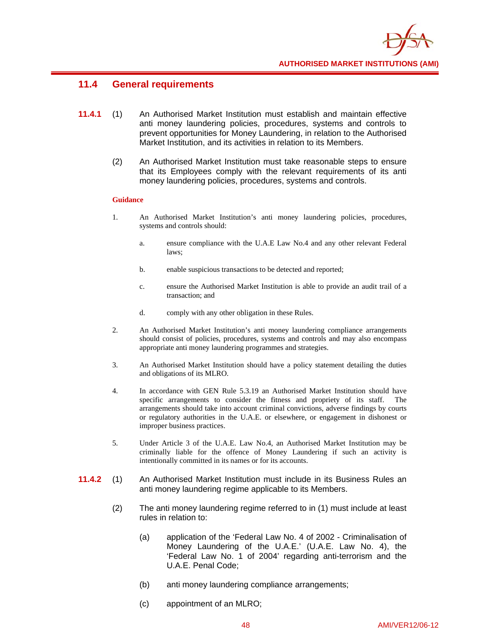

### **11.4 General requirements**

- **11.4.1** (1) An Authorised Market Institution must establish and maintain effective anti money laundering policies, procedures, systems and controls to prevent opportunities for Money Laundering, in relation to the Authorised Market Institution, and its activities in relation to its Members.
	- (2) An Authorised Market Institution must take reasonable steps to ensure that its Employees comply with the relevant requirements of its anti money laundering policies, procedures, systems and controls.

- 1. An Authorised Market Institution's anti money laundering policies, procedures, systems and controls should:
	- a. ensure compliance with the U.A.E Law No.4 and any other relevant Federal laws;
	- b. enable suspicious transactions to be detected and reported;
	- c. ensure the Authorised Market Institution is able to provide an audit trail of a transaction; and
	- d. comply with any other obligation in these Rules.
- 2. An Authorised Market Institution's anti money laundering compliance arrangements should consist of policies, procedures, systems and controls and may also encompass appropriate anti money laundering programmes and strategies.
- 3. An Authorised Market Institution should have a policy statement detailing the duties and obligations of its MLRO.
- 4. In accordance with GEN Rule 5.3.19 an Authorised Market Institution should have specific arrangements to consider the fitness and propriety of its staff. The arrangements should take into account criminal convictions, adverse findings by courts or regulatory authorities in the U.A.E. or elsewhere, or engagement in dishonest or improper business practices.
- 5. Under Article 3 of the U.A.E. Law No.4, an Authorised Market Institution may be criminally liable for the offence of Money Laundering if such an activity is intentionally committed in its names or for its accounts.
- **11.4.2** (1) An Authorised Market Institution must include in its Business Rules an anti money laundering regime applicable to its Members.
	- (2) The anti money laundering regime referred to in (1) must include at least rules in relation to:
		- (a) application of the 'Federal Law No. 4 of 2002 Criminalisation of Money Laundering of the U.A.E.' (U.A.E. Law No. 4), the 'Federal Law No. 1 of 2004' regarding anti-terrorism and the U.A.E. Penal Code;
		- (b) anti money laundering compliance arrangements;
		- (c) appointment of an MLRO;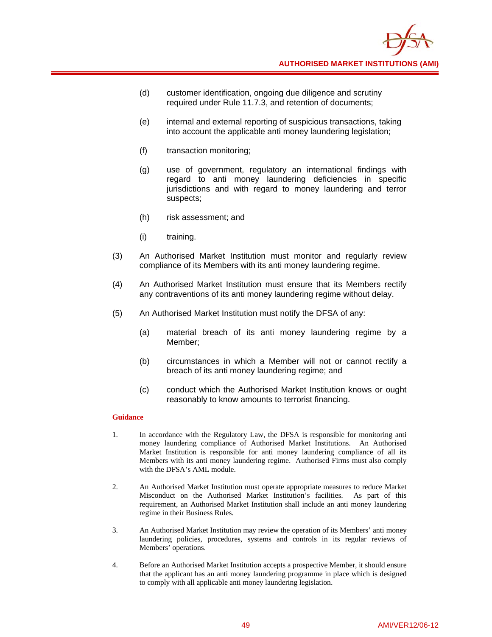- (d) customer identification, ongoing due diligence and scrutiny required under Rule 11.7.3, and retention of documents;
- (e) internal and external reporting of suspicious transactions, taking into account the applicable anti money laundering legislation;
- (f) transaction monitoring;
- (g) use of government, regulatory an international findings with regard to anti money laundering deficiencies in specific jurisdictions and with regard to money laundering and terror suspects;
- (h) risk assessment; and
- (i) training.
- (3) An Authorised Market Institution must monitor and regularly review compliance of its Members with its anti money laundering regime.
- (4) An Authorised Market Institution must ensure that its Members rectify any contraventions of its anti money laundering regime without delay.
- (5) An Authorised Market Institution must notify the DFSA of any:
	- (a) material breach of its anti money laundering regime by a Member;
	- (b) circumstances in which a Member will not or cannot rectify a breach of its anti money laundering regime; and
	- (c) conduct which the Authorised Market Institution knows or ought reasonably to know amounts to terrorist financing.

- 1. In accordance with the Regulatory Law, the DFSA is responsible for monitoring anti money laundering compliance of Authorised Market Institutions. An Authorised Market Institution is responsible for anti money laundering compliance of all its Members with its anti money laundering regime. Authorised Firms must also comply with the DFSA's AML module.
- 2. An Authorised Market Institution must operate appropriate measures to reduce Market Misconduct on the Authorised Market Institution's facilities. As part of this requirement, an Authorised Market Institution shall include an anti money laundering regime in their Business Rules.
- 3. An Authorised Market Institution may review the operation of its Members' anti money laundering policies, procedures, systems and controls in its regular reviews of Members' operations.
- 4. Before an Authorised Market Institution accepts a prospective Member, it should ensure that the applicant has an anti money laundering programme in place which is designed to comply with all applicable anti money laundering legislation.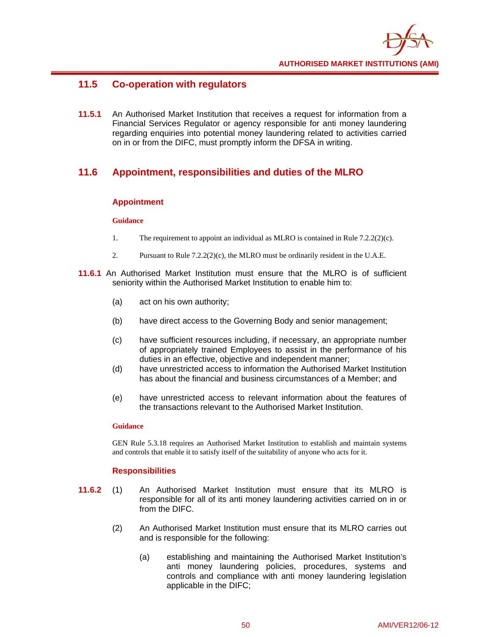

# **11.5 Co-operation with regulators**

**11.5.1** An Authorised Market Institution that receives a request for information from a Financial Services Regulator or agency responsible for anti money laundering regarding enquiries into potential money laundering related to activities carried on in or from the DIFC, must promptly inform the DFSA in writing.

# **11.6 Appointment, responsibilities and duties of the MLRO**

### **Appointment**

### **Guidance**

- 1. The requirement to appoint an individual as MLRO is contained in Rule 7.2.2(2)(c).
- 2. Pursuant to Rule 7.2.2(2)(c), the MLRO must be ordinarily resident in the U.A.E.
- **11.6.1** An Authorised Market Institution must ensure that the MLRO is of sufficient seniority within the Authorised Market Institution to enable him to:
	- (a) act on his own authority;
	- (b) have direct access to the Governing Body and senior management;
	- (c) have sufficient resources including, if necessary, an appropriate number of appropriately trained Employees to assist in the performance of his duties in an effective, objective and independent manner;
	- (d) have unrestricted access to information the Authorised Market Institution has about the financial and business circumstances of a Member; and
	- (e) have unrestricted access to relevant information about the features of the transactions relevant to the Authorised Market Institution.

### **Guidance**

GEN Rule 5.3.18 requires an Authorised Market Institution to establish and maintain systems and controls that enable it to satisfy itself of the suitability of anyone who acts for it.

### **Responsibilities**

- **11.6.2** (1) An Authorised Market Institution must ensure that its MLRO is responsible for all of its anti money laundering activities carried on in or from the DIFC.
	- (2) An Authorised Market Institution must ensure that its MLRO carries out and is responsible for the following:
		- (a) establishing and maintaining the Authorised Market Institution's anti money laundering policies, procedures, systems and controls and compliance with anti money laundering legislation applicable in the DIFC;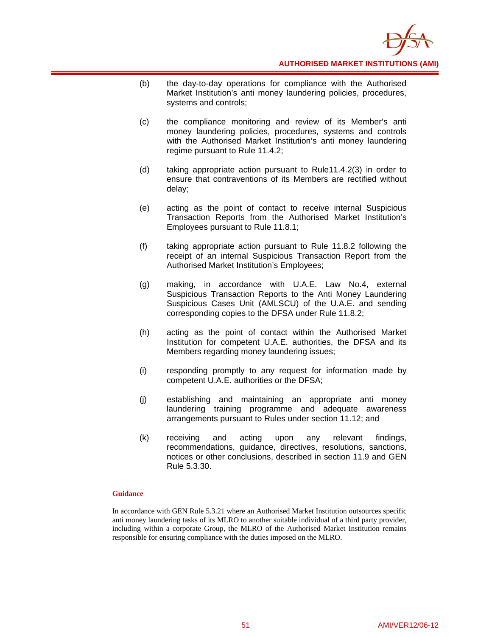

- (b) the day-to-day operations for compliance with the Authorised Market Institution's anti money laundering policies, procedures, systems and controls;
- (c) the compliance monitoring and review of its Member's anti money laundering policies, procedures, systems and controls with the Authorised Market Institution's anti money laundering regime pursuant to Rule 11.4.2;
- (d) taking appropriate action pursuant to Rule11.4.2(3) in order to ensure that contraventions of its Members are rectified without delay;
- (e) acting as the point of contact to receive internal Suspicious Transaction Reports from the Authorised Market Institution's Employees pursuant to Rule 11.8.1;
- (f) taking appropriate action pursuant to Rule 11.8.2 following the receipt of an internal Suspicious Transaction Report from the Authorised Market Institution's Employees;
- (g) making, in accordance with U.A.E. Law No.4, external Suspicious Transaction Reports to the Anti Money Laundering Suspicious Cases Unit (AMLSCU) of the U.A.E. and sending corresponding copies to the DFSA under Rule 11.8.2;
- (h) acting as the point of contact within the Authorised Market Institution for competent U.A.E. authorities, the DFSA and its Members regarding money laundering issues;
- (i) responding promptly to any request for information made by competent U.A.E. authorities or the DFSA;
- (j) establishing and maintaining an appropriate anti money laundering training programme and adequate awareness arrangements pursuant to Rules under section 11.12; and
- (k) receiving and acting upon any relevant findings, recommendations, guidance, directives, resolutions, sanctions, notices or other conclusions, described in section 11.9 and GEN Rule 5.3.30.

#### **Guidance**

In accordance with GEN Rule 5.3.21 where an Authorised Market Institution outsources specific anti money laundering tasks of its MLRO to another suitable individual of a third party provider, including within a corporate Group, the MLRO of the Authorised Market Institution remains responsible for ensuring compliance with the duties imposed on the MLRO.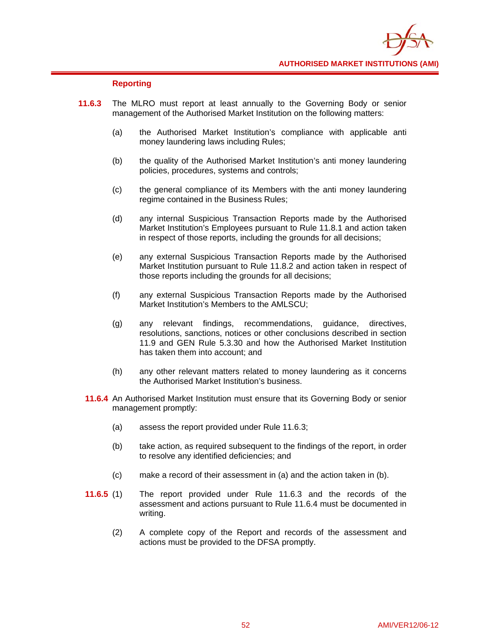

### **Reporting**

- **11.6.3** The MLRO must report at least annually to the Governing Body or senior management of the Authorised Market Institution on the following matters:
	- (a) the Authorised Market Institution's compliance with applicable anti money laundering laws including Rules;
	- (b) the quality of the Authorised Market Institution's anti money laundering policies, procedures, systems and controls;
	- (c) the general compliance of its Members with the anti money laundering regime contained in the Business Rules;
	- (d) any internal Suspicious Transaction Reports made by the Authorised Market Institution's Employees pursuant to Rule 11.8.1 and action taken in respect of those reports, including the grounds for all decisions;
	- (e) any external Suspicious Transaction Reports made by the Authorised Market Institution pursuant to Rule 11.8.2 and action taken in respect of those reports including the grounds for all decisions;
	- (f) any external Suspicious Transaction Reports made by the Authorised Market Institution's Members to the AMLSCU;
	- (g) any relevant findings, recommendations, guidance, directives, resolutions, sanctions, notices or other conclusions described in section 11.9 and GEN Rule 5.3.30 and how the Authorised Market Institution has taken them into account; and
	- (h) any other relevant matters related to money laundering as it concerns the Authorised Market Institution's business.
	- **11.6.4** An Authorised Market Institution must ensure that its Governing Body or senior management promptly:
		- (a) assess the report provided under Rule 11.6.3;
		- (b) take action, as required subsequent to the findings of the report, in order to resolve any identified deficiencies; and
		- (c) make a record of their assessment in (a) and the action taken in (b).
	- **11.6.5** (1) The report provided under Rule 11.6.3 and the records of the assessment and actions pursuant to Rule 11.6.4 must be documented in writing.
		- (2) A complete copy of the Report and records of the assessment and actions must be provided to the DFSA promptly.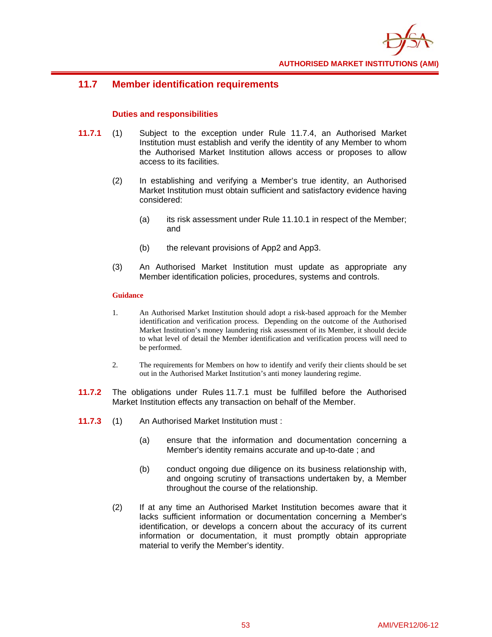

### **11.7 Member identification requirements**

### **Duties and responsibilities**

- **11.7.1** (1) Subject to the exception under Rule 11.7.4, an Authorised Market Institution must establish and verify the identity of any Member to whom the Authorised Market Institution allows access or proposes to allow access to its facilities.
	- (2) In establishing and verifying a Member's true identity, an Authorised Market Institution must obtain sufficient and satisfactory evidence having considered:
		- (a) its risk assessment under Rule 11.10.1 in respect of the Member; and
		- (b) the relevant provisions of App2 and App3.
	- (3) An Authorised Market Institution must update as appropriate any Member identification policies, procedures, systems and controls.

- 1. An Authorised Market Institution should adopt a risk-based approach for the Member identification and verification process. Depending on the outcome of the Authorised Market Institution's money laundering risk assessment of its Member, it should decide to what level of detail the Member identification and verification process will need to be performed.
- 2. The requirements for Members on how to identify and verify their clients should be set out in the Authorised Market Institution's anti money laundering regime.
- **11.7.2** The obligations under Rules 11.7.1 must be fulfilled before the Authorised Market Institution effects any transaction on behalf of the Member.
- **11.7.3** (1) An Authorised Market Institution must :
	- (a) ensure that the information and documentation concerning a Member's identity remains accurate and up-to-date ; and
	- (b) conduct ongoing due diligence on its business relationship with, and ongoing scrutiny of transactions undertaken by, a Member throughout the course of the relationship.
	- (2) If at any time an Authorised Market Institution becomes aware that it lacks sufficient information or documentation concerning a Member's identification, or develops a concern about the accuracy of its current information or documentation, it must promptly obtain appropriate material to verify the Member's identity.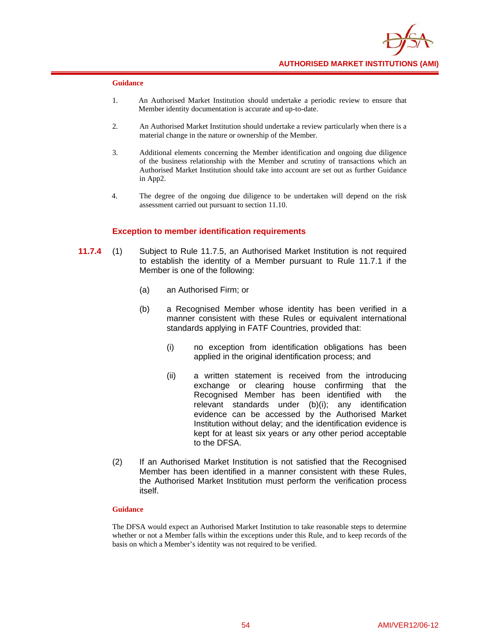

#### **Guidance**

- 1. An Authorised Market Institution should undertake a periodic review to ensure that Member identity documentation is accurate and up-to-date.
- 2. An Authorised Market Institution should undertake a review particularly when there is a material change in the nature or ownership of the Member.
- 3. Additional elements concerning the Member identification and ongoing due diligence of the business relationship with the Member and scrutiny of transactions which an Authorised Market Institution should take into account are set out as further Guidance in App2.
- 4. The degree of the ongoing due diligence to be undertaken will depend on the risk assessment carried out pursuant to section 11.10.

#### **Exception to member identification requirements**

- **11.7.4** (1) Subject to Rule 11.7.5, an Authorised Market Institution is not required to establish the identity of a Member pursuant to Rule 11.7.1 if the Member is one of the following:
	- (a) an Authorised Firm; or
	- (b) a Recognised Member whose identity has been verified in a manner consistent with these Rules or equivalent international standards applying in FATF Countries, provided that:
		- (i) no exception from identification obligations has been applied in the original identification process; and
		- (ii) a written statement is received from the introducing exchange or clearing house confirming that the Recognised Member has been identified with the relevant standards under (b)(i); any identification evidence can be accessed by the Authorised Market Institution without delay; and the identification evidence is kept for at least six years or any other period acceptable to the DFSA.
	- (2) If an Authorised Market Institution is not satisfied that the Recognised Member has been identified in a manner consistent with these Rules, the Authorised Market Institution must perform the verification process itself.

#### **Guidance**

The DFSA would expect an Authorised Market Institution to take reasonable steps to determine whether or not a Member falls within the exceptions under this Rule, and to keep records of the basis on which a Member's identity was not required to be verified.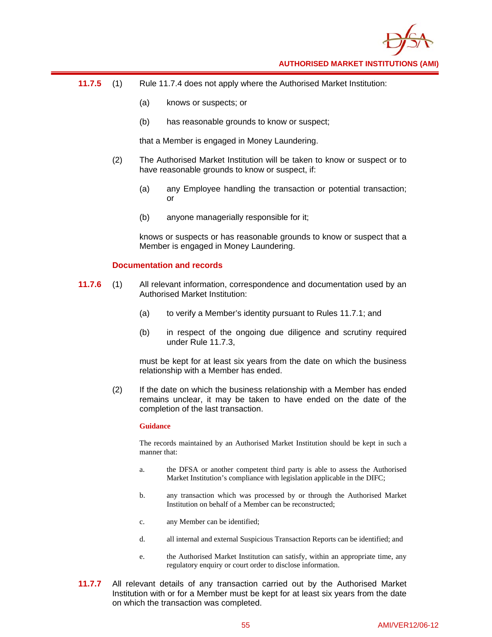

- **11.7.5** (1) Rule 11.7.4 does not apply where the Authorised Market Institution:
	- (a) knows or suspects; or
	- (b) has reasonable grounds to know or suspect;

that a Member is engaged in Money Laundering.

- (2) The Authorised Market Institution will be taken to know or suspect or to have reasonable grounds to know or suspect, if:
	- (a) any Employee handling the transaction or potential transaction; or
	- (b) anyone managerially responsible for it;

knows or suspects or has reasonable grounds to know or suspect that a Member is engaged in Money Laundering.

### **Documentation and records**

- **11.7.6** (1) All relevant information, correspondence and documentation used by an Authorised Market Institution:
	- (a) to verify a Member's identity pursuant to Rules 11.7.1; and
	- (b) in respect of the ongoing due diligence and scrutiny required under Rule 11.7.3,

must be kept for at least six years from the date on which the business relationship with a Member has ended.

(2) If the date on which the business relationship with a Member has ended remains unclear, it may be taken to have ended on the date of the completion of the last transaction.

#### **Guidance**

The records maintained by an Authorised Market Institution should be kept in such a manner that:

- a. the DFSA or another competent third party is able to assess the Authorised Market Institution's compliance with legislation applicable in the DIFC;
- b. any transaction which was processed by or through the Authorised Market Institution on behalf of a Member can be reconstructed;
- c. any Member can be identified;
- d. all internal and external Suspicious Transaction Reports can be identified; and
- e. the Authorised Market Institution can satisfy, within an appropriate time, any regulatory enquiry or court order to disclose information.
- **11.7.7** All relevant details of any transaction carried out by the Authorised Market Institution with or for a Member must be kept for at least six years from the date on which the transaction was completed.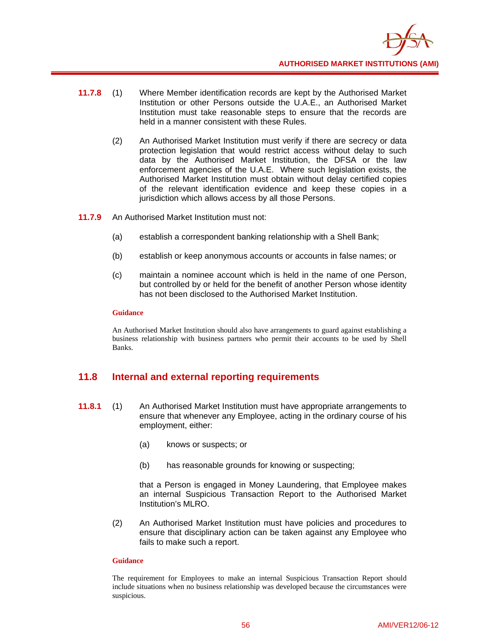

- **11.7.8** (1) Where Member identification records are kept by the Authorised Market Institution or other Persons outside the U.A.E., an Authorised Market Institution must take reasonable steps to ensure that the records are held in a manner consistent with these Rules.
	- (2) An Authorised Market Institution must verify if there are secrecy or data protection legislation that would restrict access without delay to such data by the Authorised Market Institution, the DFSA or the law enforcement agencies of the U.A.E. Where such legislation exists, the Authorised Market Institution must obtain without delay certified copies of the relevant identification evidence and keep these copies in a jurisdiction which allows access by all those Persons.
- **11.7.9** An Authorised Market Institution must not:
	- (a) establish a correspondent banking relationship with a Shell Bank;
	- (b) establish or keep anonymous accounts or accounts in false names; or
	- (c) maintain a nominee account which is held in the name of one Person, but controlled by or held for the benefit of another Person whose identity has not been disclosed to the Authorised Market Institution.

#### **Guidance**

An Authorised Market Institution should also have arrangements to guard against establishing a business relationship with business partners who permit their accounts to be used by Shell Banks.

### **11.8 Internal and external reporting requirements**

- **11.8.1** (1) An Authorised Market Institution must have appropriate arrangements to ensure that whenever any Employee, acting in the ordinary course of his employment, either:
	- (a) knows or suspects; or
	- (b) has reasonable grounds for knowing or suspecting;

that a Person is engaged in Money Laundering, that Employee makes an internal Suspicious Transaction Report to the Authorised Market Institution's MLRO.

(2) An Authorised Market Institution must have policies and procedures to ensure that disciplinary action can be taken against any Employee who fails to make such a report.

#### **Guidance**

The requirement for Employees to make an internal Suspicious Transaction Report should include situations when no business relationship was developed because the circumstances were suspicious.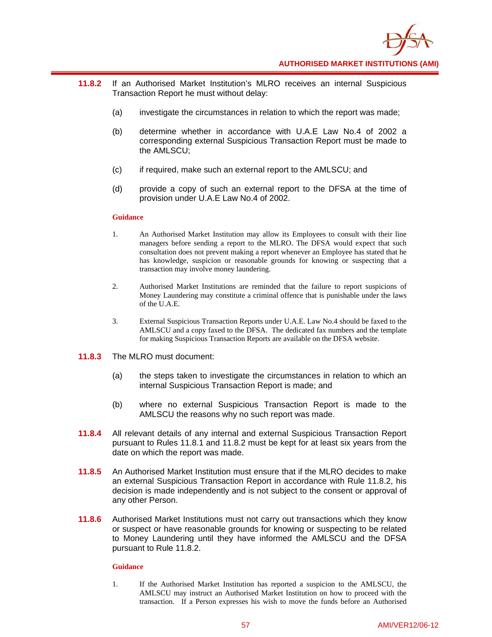

- **11.8.2** If an Authorised Market Institution's MLRO receives an internal Suspicious Transaction Report he must without delay:
	- (a) investigate the circumstances in relation to which the report was made;
	- (b) determine whether in accordance with U.A.E Law No.4 of 2002 a corresponding external Suspicious Transaction Report must be made to the AMLSCU;
	- (c) if required, make such an external report to the AMLSCU; and
	- (d) provide a copy of such an external report to the DFSA at the time of provision under U.A.E Law No.4 of 2002.

#### **Guidance**

- 1. An Authorised Market Institution may allow its Employees to consult with their line managers before sending a report to the MLRO. The DFSA would expect that such consultation does not prevent making a report whenever an Employee has stated that he has knowledge, suspicion or reasonable grounds for knowing or suspecting that a transaction may involve money laundering.
- 2. Authorised Market Institutions are reminded that the failure to report suspicions of Money Laundering may constitute a criminal offence that is punishable under the laws of the U.A.E.
- 3. External Suspicious Transaction Reports under U.A.E. Law No.4 should be faxed to the AMLSCU and a copy faxed to the DFSA. The dedicated fax numbers and the template for making Suspicious Transaction Reports are available on the DFSA website.
- **11.8.3** The MLRO must document:
	- (a) the steps taken to investigate the circumstances in relation to which an internal Suspicious Transaction Report is made; and
	- (b) where no external Suspicious Transaction Report is made to the AMLSCU the reasons why no such report was made.
- **11.8.4** All relevant details of any internal and external Suspicious Transaction Report pursuant to Rules 11.8.1 and 11.8.2 must be kept for at least six years from the date on which the report was made.
- **11.8.5** An Authorised Market Institution must ensure that if the MLRO decides to make an external Suspicious Transaction Report in accordance with Rule 11.8.2, his decision is made independently and is not subject to the consent or approval of any other Person.
- **11.8.6** Authorised Market Institutions must not carry out transactions which they know or suspect or have reasonable grounds for knowing or suspecting to be related to Money Laundering until they have informed the AMLSCU and the DFSA pursuant to Rule 11.8.2.

#### **Guidance**

1. If the Authorised Market Institution has reported a suspicion to the AMLSCU, the AMLSCU may instruct an Authorised Market Institution on how to proceed with the transaction. If a Person expresses his wish to move the funds before an Authorised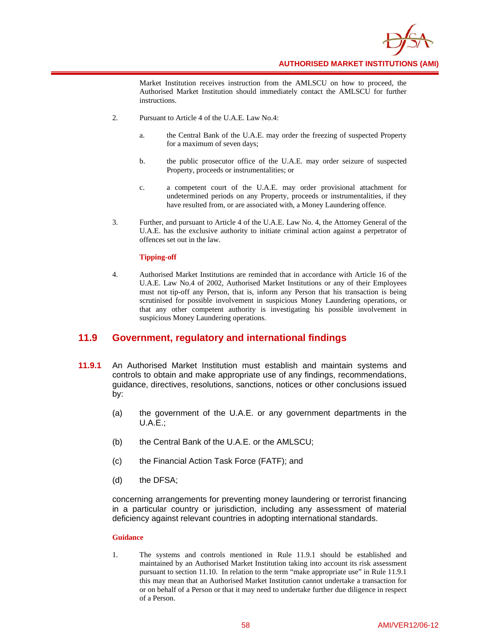

Market Institution receives instruction from the AMLSCU on how to proceed, the Authorised Market Institution should immediately contact the AMLSCU for further instructions.

- 2. Pursuant to Article 4 of the U.A.E. Law No.4:
	- a. the Central Bank of the U.A.E. may order the freezing of suspected Property for a maximum of seven days;
	- b. the public prosecutor office of the U.A.E. may order seizure of suspected Property, proceeds or instrumentalities; or
	- c. a competent court of the U.A.E. may order provisional attachment for undetermined periods on any Property, proceeds or instrumentalities, if they have resulted from, or are associated with, a Money Laundering offence.
- 3. Further, and pursuant to Article 4 of the U.A.E. Law No. 4, the Attorney General of the U.A.E. has the exclusive authority to initiate criminal action against a perpetrator of offences set out in the law.

#### **Tipping-off**

4. Authorised Market Institutions are reminded that in accordance with Article 16 of the U.A.E. Law No.4 of 2002, Authorised Market Institutions or any of their Employees must not tip-off any Person, that is, inform any Person that his transaction is being scrutinised for possible involvement in suspicious Money Laundering operations, or that any other competent authority is investigating his possible involvement in suspicious Money Laundering operations.

### **11.9 Government, regulatory and international findings**

- **11.9.1** An Authorised Market Institution must establish and maintain systems and controls to obtain and make appropriate use of any findings, recommendations, guidance, directives, resolutions, sanctions, notices or other conclusions issued by:
	- (a) the government of the U.A.E. or any government departments in the U.A.E.;
	- (b) the Central Bank of the U.A.E. or the AMLSCU;
	- (c) the Financial Action Task Force (FATF); and
	- (d) the DFSA;

concerning arrangements for preventing money laundering or terrorist financing in a particular country or jurisdiction, including any assessment of material deficiency against relevant countries in adopting international standards.

#### **Guidance**

1. The systems and controls mentioned in Rule 11.9.1 should be established and maintained by an Authorised Market Institution taking into account its risk assessment pursuant to section 11.10. In relation to the term "make appropriate use" in Rule 11.9.1 this may mean that an Authorised Market Institution cannot undertake a transaction for or on behalf of a Person or that it may need to undertake further due diligence in respect of a Person.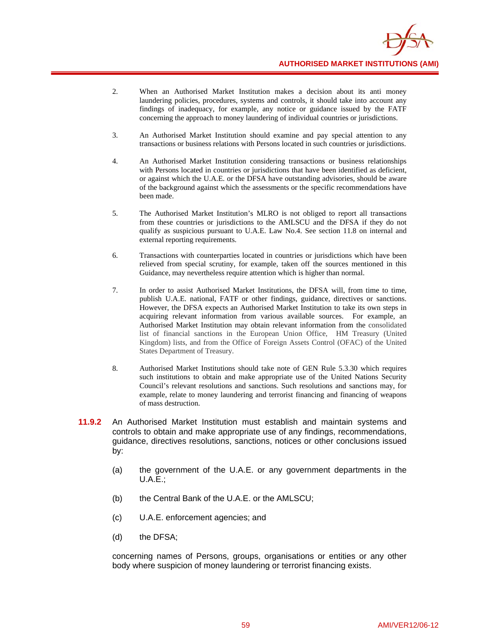

- 2. When an Authorised Market Institution makes a decision about its anti money laundering policies, procedures, systems and controls, it should take into account any findings of inadequacy, for example, any notice or guidance issued by the FATF concerning the approach to money laundering of individual countries or jurisdictions.
- 3. An Authorised Market Institution should examine and pay special attention to any transactions or business relations with Persons located in such countries or jurisdictions.
- 4. An Authorised Market Institution considering transactions or business relationships with Persons located in countries or jurisdictions that have been identified as deficient, or against which the U.A.E. or the DFSA have outstanding advisories, should be aware of the background against which the assessments or the specific recommendations have been made.
- 5. The Authorised Market Institution's MLRO is not obliged to report all transactions from these countries or jurisdictions to the AMLSCU and the DFSA if they do not qualify as suspicious pursuant to U.A.E. Law No.4. See section 11.8 on internal and external reporting requirements.
- 6. Transactions with counterparties located in countries or jurisdictions which have been relieved from special scrutiny, for example, taken off the sources mentioned in this Guidance, may nevertheless require attention which is higher than normal.
- 7. In order to assist Authorised Market Institutions, the DFSA will, from time to time, publish U.A.E. national, FATF or other findings, guidance, directives or sanctions. However, the DFSA expects an Authorised Market Institution to take its own steps in acquiring relevant information from various available sources. For example, an Authorised Market Institution may obtain relevant information from the consolidated list of financial sanctions in the European Union Office, HM Treasury (United Kingdom) lists, and from the Office of Foreign Assets Control (OFAC) of the United States Department of Treasury.
- 8. Authorised Market Institutions should take note of GEN Rule 5.3.30 which requires such institutions to obtain and make appropriate use of the United Nations Security Council's relevant resolutions and sanctions. Such resolutions and sanctions may, for example, relate to money laundering and terrorist financing and financing of weapons of mass destruction.
- **11.9.2** An Authorised Market Institution must establish and maintain systems and controls to obtain and make appropriate use of any findings, recommendations, guidance, directives resolutions, sanctions, notices or other conclusions issued by:
	- (a) the government of the U.A.E. or any government departments in the U.A.E.;
	- (b) the Central Bank of the U.A.E. or the AMLSCU;
	- (c) U.A.E. enforcement agencies; and
	- (d) the DFSA;

concerning names of Persons, groups, organisations or entities or any other body where suspicion of money laundering or terrorist financing exists.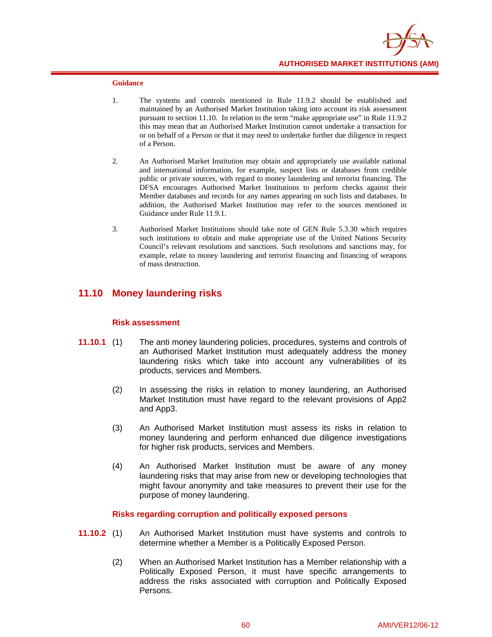

#### **Guidance**

- 1. The systems and controls mentioned in Rule 11.9.2 should be established and maintained by an Authorised Market Institution taking into account its risk assessment pursuant to section 11.10. In relation to the term "make appropriate use" in Rule 11.9.2 this may mean that an Authorised Market Institution cannot undertake a transaction for or on behalf of a Person or that it may need to undertake further due diligence in respect of a Person.
- 2. An Authorised Market Institution may obtain and appropriately use available national and international information, for example, suspect lists or databases from credible public or private sources, with regard to money laundering and terrorist financing. The DFSA encourages Authorised Market Institutions to perform checks against their Member databases and records for any names appearing on such lists and databases. In addition, the Authorised Market Institution may refer to the sources mentioned in Guidance under Rule 11.9.1.
- 3. Authorised Market Institutions should take note of GEN Rule 5.3.30 which requires such institutions to obtain and make appropriate use of the United Nations Security Council's relevant resolutions and sanctions. Such resolutions and sanctions may, for example, relate to money laundering and terrorist financing and financing of weapons of mass destruction.

### **11.10 Money laundering risks**

#### **Risk assessment**

- **11.10.1** (1) The anti money laundering policies, procedures, systems and controls of an Authorised Market Institution must adequately address the money laundering risks which take into account any vulnerabilities of its products, services and Members.
	- (2) In assessing the risks in relation to money laundering, an Authorised Market Institution must have regard to the relevant provisions of App2 and App3.
	- (3) An Authorised Market Institution must assess its risks in relation to money laundering and perform enhanced due diligence investigations for higher risk products, services and Members.
	- (4) An Authorised Market Institution must be aware of any money laundering risks that may arise from new or developing technologies that might favour anonymity and take measures to prevent their use for the purpose of money laundering.

#### **Risks regarding corruption and politically exposed persons**

- **11.10.2** (1) An Authorised Market Institution must have systems and controls to determine whether a Member is a Politically Exposed Person.
	- (2) When an Authorised Market Institution has a Member relationship with a Politically Exposed Person, it must have specific arrangements to address the risks associated with corruption and Politically Exposed Persons.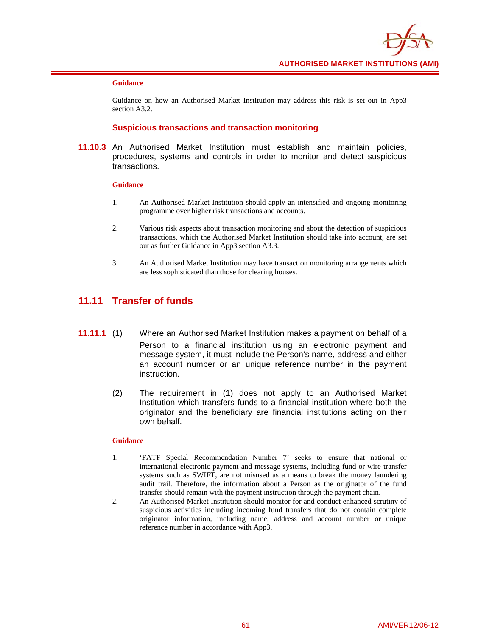

#### **Guidance**

Guidance on how an Authorised Market Institution may address this risk is set out in App3 section A3.2.

### **Suspicious transactions and transaction monitoring**

**11.10.3** An Authorised Market Institution must establish and maintain policies, procedures, systems and controls in order to monitor and detect suspicious transactions.

#### **Guidance**

- 1. An Authorised Market Institution should apply an intensified and ongoing monitoring programme over higher risk transactions and accounts.
- 2. Various risk aspects about transaction monitoring and about the detection of suspicious transactions, which the Authorised Market Institution should take into account, are set out as further Guidance in App3 section A3.3.
- 3. An Authorised Market Institution may have transaction monitoring arrangements which are less sophisticated than those for clearing houses.

# **11.11 Transfer of funds**

- **11.11.1** (1) Where an Authorised Market Institution makes a payment on behalf of a Person to a financial institution using an electronic payment and message system, it must include the Person's name, address and either an account number or an unique reference number in the payment instruction.
	- (2) The requirement in (1) does not apply to an Authorised Market Institution which transfers funds to a financial institution where both the originator and the beneficiary are financial institutions acting on their own behalf.

- 1. 'FATF Special Recommendation Number 7' seeks to ensure that national or international electronic payment and message systems, including fund or wire transfer systems such as SWIFT, are not misused as a means to break the money laundering audit trail. Therefore, the information about a Person as the originator of the fund transfer should remain with the payment instruction through the payment chain.
- 2. An Authorised Market Institution should monitor for and conduct enhanced scrutiny of suspicious activities including incoming fund transfers that do not contain complete originator information, including name, address and account number or unique reference number in accordance with App3.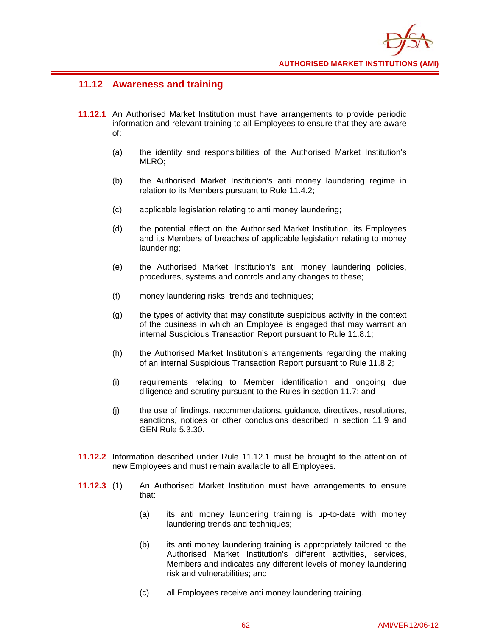

### **11.12 Awareness and training**

- **11.12.1** An Authorised Market Institution must have arrangements to provide periodic information and relevant training to all Employees to ensure that they are aware of:
	- (a) the identity and responsibilities of the Authorised Market Institution's MLRO;
	- (b) the Authorised Market Institution's anti money laundering regime in relation to its Members pursuant to Rule 11.4.2;
	- (c) applicable legislation relating to anti money laundering;
	- (d) the potential effect on the Authorised Market Institution, its Employees and its Members of breaches of applicable legislation relating to money laundering;
	- (e) the Authorised Market Institution's anti money laundering policies, procedures, systems and controls and any changes to these;
	- (f) money laundering risks, trends and techniques;
	- (g) the types of activity that may constitute suspicious activity in the context of the business in which an Employee is engaged that may warrant an internal Suspicious Transaction Report pursuant to Rule 11.8.1;
	- (h) the Authorised Market Institution's arrangements regarding the making of an internal Suspicious Transaction Report pursuant to Rule 11.8.2;
	- (i) requirements relating to Member identification and ongoing due diligence and scrutiny pursuant to the Rules in section 11.7; and
	- (j) the use of findings, recommendations, guidance, directives, resolutions, sanctions, notices or other conclusions described in section 11.9 and GEN Rule 5.3.30.
- **11.12.2** Information described under Rule 11.12.1 must be brought to the attention of new Employees and must remain available to all Employees.
- **11.12.3** (1) An Authorised Market Institution must have arrangements to ensure that:
	- (a) its anti money laundering training is up-to-date with money laundering trends and techniques;
	- (b) its anti money laundering training is appropriately tailored to the Authorised Market Institution's different activities, services, Members and indicates any different levels of money laundering risk and vulnerabilities; and
	- (c) all Employees receive anti money laundering training.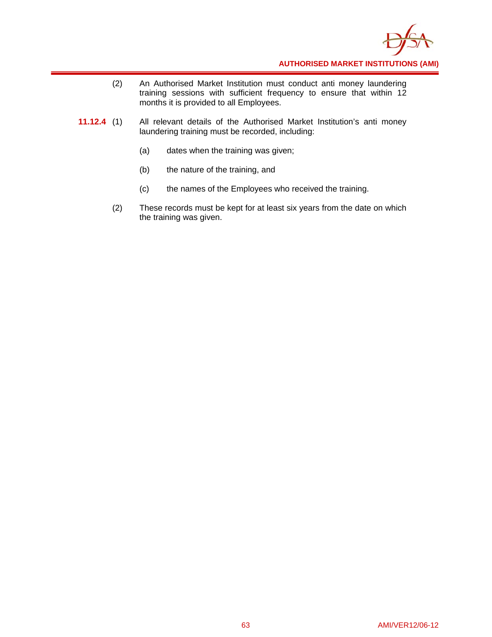

- (2) An Authorised Market Institution must conduct anti money laundering training sessions with sufficient frequency to ensure that within 12 months it is provided to all Employees.
- **11.12.4** (1) All relevant details of the Authorised Market Institution's anti money laundering training must be recorded, including:
	- (a) dates when the training was given;
	- (b) the nature of the training, and
	- (c) the names of the Employees who received the training.
	- (2) These records must be kept for at least six years from the date on which the training was given.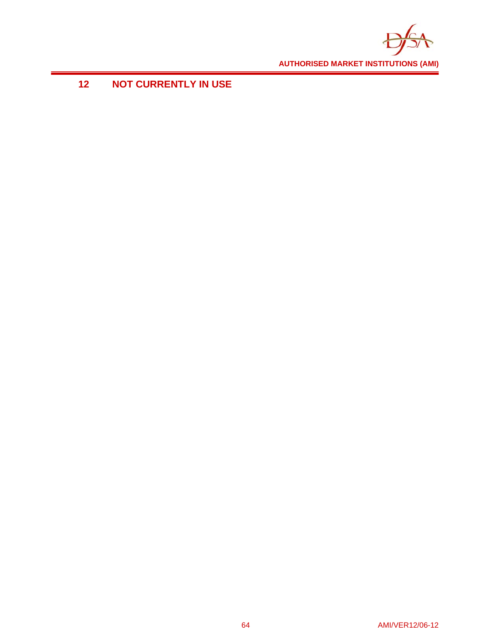

# **12 NOT CURRENTLY IN USE**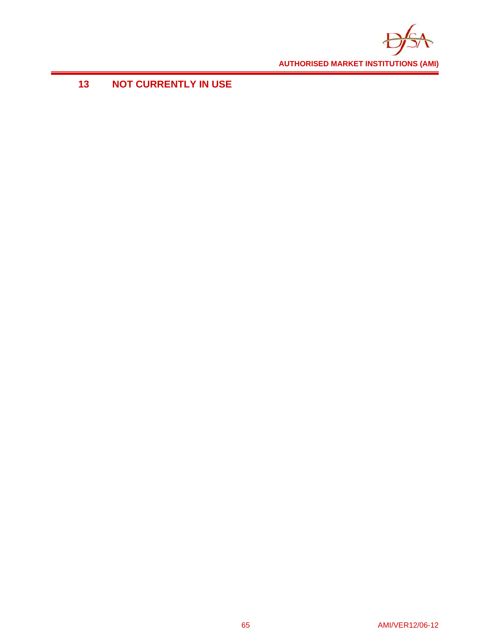

# **13 NOT CURRENTLY IN USE**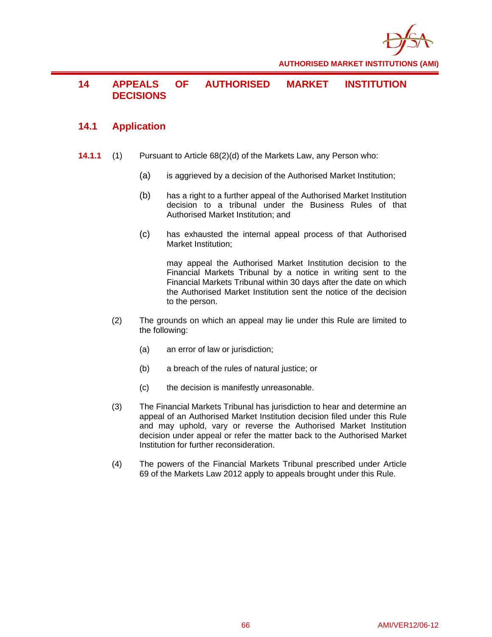

# **14 APPEALS OF AUTHORISED MARKET INSTITUTION DECISIONS**

# **14.1 Application**

- **14.1.1** (1) Pursuant to Article 68(2)(d) of the Markets Law, any Person who:
	- (a) is aggrieved by a decision of the Authorised Market Institution;
	- (b) has a right to a further appeal of the Authorised Market Institution decision to a tribunal under the Business Rules of that Authorised Market Institution; and
	- (c) has exhausted the internal appeal process of that Authorised Market Institution;

may appeal the Authorised Market Institution decision to the Financial Markets Tribunal by a notice in writing sent to the Financial Markets Tribunal within 30 days after the date on which the Authorised Market Institution sent the notice of the decision to the person.

- (2) The grounds on which an appeal may lie under this Rule are limited to the following:
	- (a) an error of law or jurisdiction;
	- (b) a breach of the rules of natural justice; or
	- (c) the decision is manifestly unreasonable.
- (3) The Financial Markets Tribunal has jurisdiction to hear and determine an appeal of an Authorised Market Institution decision filed under this Rule and may uphold, vary or reverse the Authorised Market Institution decision under appeal or refer the matter back to the Authorised Market Institution for further reconsideration.
- (4) The powers of the Financial Markets Tribunal prescribed under Article 69 of the Markets Law 2012 apply to appeals brought under this Rule.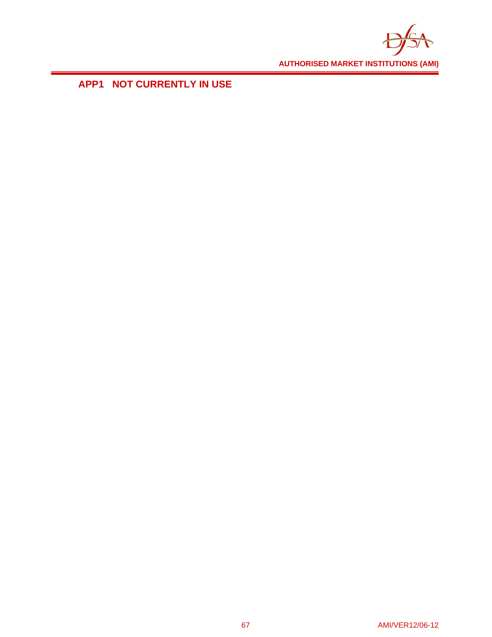

**APP1 NOT CURRENTLY IN USE**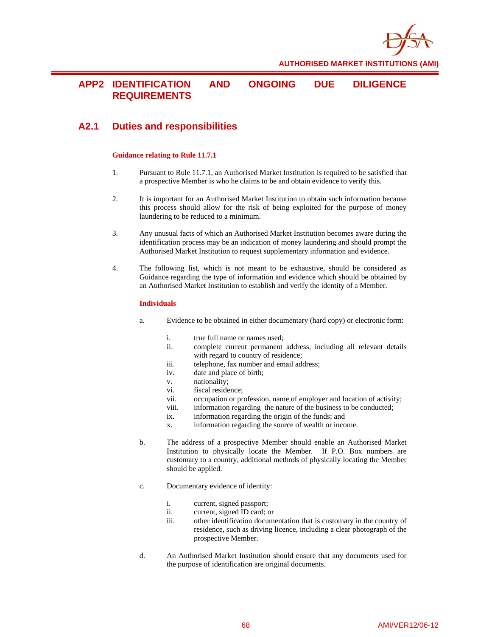

### **APP2 IDENTIFICATION AND ONGOING DUE DILIGENCE REQUIREMENTS**

# **A2.1 Duties and responsibilities**

#### **Guidance relating to Rule 11.7.1**

- 1. Pursuant to Rule 11.7.1, an Authorised Market Institution is required to be satisfied that a prospective Member is who he claims to be and obtain evidence to verify this.
- 2. It is important for an Authorised Market Institution to obtain such information because this process should allow for the risk of being exploited for the purpose of money laundering to be reduced to a minimum.
- 3. Any unusual facts of which an Authorised Market Institution becomes aware during the identification process may be an indication of money laundering and should prompt the Authorised Market Institution to request supplementary information and evidence.
- 4. The following list, which is not meant to be exhaustive, should be considered as Guidance regarding the type of information and evidence which should be obtained by an Authorised Market Institution to establish and verify the identity of a Member.

#### **Individuals**

- a. Evidence to be obtained in either documentary (hard copy) or electronic form:
	- i. true full name or names used;
	- ii. complete current permanent address, including all relevant details with regard to country of residence;
	- iii. telephone, fax number and email address;
	- iv. date and place of birth;
	- v. nationality;
	- vi. fiscal residence;
	- vii. occupation or profession, name of employer and location of activity;
	- viii. information regarding the nature of the business to be conducted;
	- ix. information regarding the origin of the funds; and
	- x. information regarding the source of wealth or income.
- b. The address of a prospective Member should enable an Authorised Market Institution to physically locate the Member. If P.O. Box numbers are customary to a country, additional methods of physically locating the Member should be applied.
- c. Documentary evidence of identity:
	- i. current, signed passport;
	- ii. current, signed ID card; or
	- iii. other identification documentation that is customary in the country of residence, such as driving licence, including a clear photograph of the prospective Member.
- d. An Authorised Market Institution should ensure that any documents used for the purpose of identification are original documents.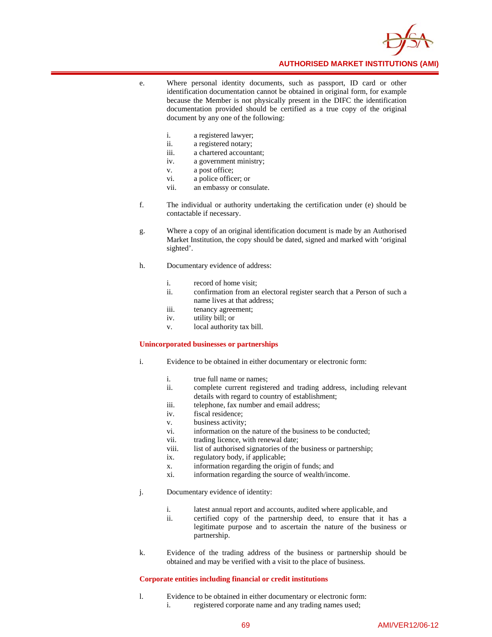

- e. Where personal identity documents, such as passport, ID card or other identification documentation cannot be obtained in original form, for example because the Member is not physically present in the DIFC the identification documentation provided should be certified as a true copy of the original document by any one of the following:
	- i. a registered lawyer;
	- ii. a registered notary;
	- iii. a chartered accountant;
	- iv. a government ministry;
	- v. a post office;
	- vi. a police officer; or
	- vii. an embassy or consulate.
- f. The individual or authority undertaking the certification under (e) should be contactable if necessary.
- g. Where a copy of an original identification document is made by an Authorised Market Institution, the copy should be dated, signed and marked with 'original sighted'.
- h. Documentary evidence of address:
	- i. record of home visit;
	- ii. confirmation from an electoral register search that a Person of such a name lives at that address;
	- iii. tenancy agreement;
	- iv. utility bill; or
	- v. local authority tax bill.

#### **Unincorporated businesses or partnerships**

- i. Evidence to be obtained in either documentary or electronic form:
	- i. true full name or names;
	- ii. complete current registered and trading address, including relevant details with regard to country of establishment;
	- iii. telephone, fax number and email address;
	- iv. fiscal residence;
	- v. business activity;
	- vi. information on the nature of the business to be conducted;
	- vii. trading licence, with renewal date;
	- viii. list of authorised signatories of the business or partnership;
	- ix. regulatory body, if applicable;
	- x. information regarding the origin of funds; and
	- xi. information regarding the source of wealth/income.
- j. Documentary evidence of identity:
	- i. latest annual report and accounts, audited where applicable, and
	- ii. certified copy of the partnership deed, to ensure that it has a legitimate purpose and to ascertain the nature of the business or partnership.
- k. Evidence of the trading address of the business or partnership should be obtained and may be verified with a visit to the place of business.

### **Corporate entities including financial or credit institutions**

l. Evidence to be obtained in either documentary or electronic form: i. registered corporate name and any trading names used;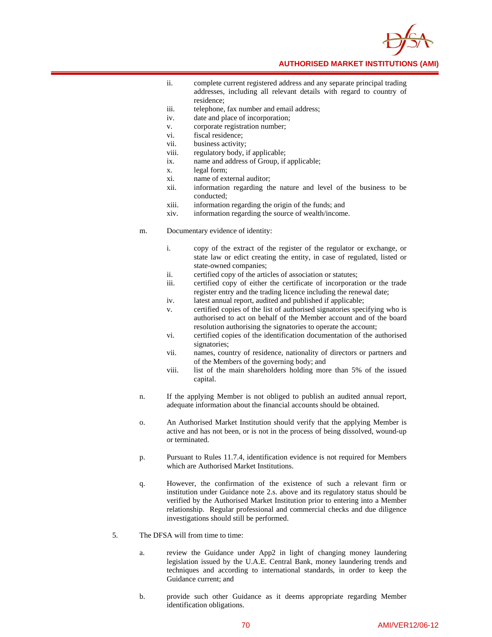

- ii. complete current registered address and any separate principal trading addresses, including all relevant details with regard to country of residence;
- iii. telephone, fax number and email address;
- iv. date and place of incorporation;
- v. corporate registration number;
- vi. fiscal residence;
- vii. business activity;
- viii. regulatory body, if applicable;
- ix. name and address of Group, if applicable;
- x. legal form;
- xi. name of external auditor;
- xii. information regarding the nature and level of the business to be conducted;
- xiii. information regarding the origin of the funds; and
- xiv. information regarding the source of wealth/income.
- m. Documentary evidence of identity:
	- i. copy of the extract of the register of the regulator or exchange, or state law or edict creating the entity, in case of regulated, listed or state-owned companies;
	- ii. certified copy of the articles of association or statutes;
	- iii. certified copy of either the certificate of incorporation or the trade register entry and the trading licence including the renewal date;
	- iv. latest annual report, audited and published if applicable;
	- v. certified copies of the list of authorised signatories specifying who is authorised to act on behalf of the Member account and of the board resolution authorising the signatories to operate the account;
	- vi. certified copies of the identification documentation of the authorised signatories;
	- vii. names, country of residence, nationality of directors or partners and of the Members of the governing body; and
	- viii. list of the main shareholders holding more than 5% of the issued capital.
- n. If the applying Member is not obliged to publish an audited annual report, adequate information about the financial accounts should be obtained.
- o. An Authorised Market Institution should verify that the applying Member is active and has not been, or is not in the process of being dissolved, wound-up or terminated.
- p. Pursuant to Rules 11.7.4, identification evidence is not required for Members which are Authorised Market Institutions.
- q. However, the confirmation of the existence of such a relevant firm or institution under Guidance note 2.s. above and its regulatory status should be verified by the Authorised Market Institution prior to entering into a Member relationship. Regular professional and commercial checks and due diligence investigations should still be performed.
- 5. The DFSA will from time to time:
	- a. review the Guidance under App2 in light of changing money laundering legislation issued by the U.A.E. Central Bank, money laundering trends and techniques and according to international standards, in order to keep the Guidance current; and
	- b. provide such other Guidance as it deems appropriate regarding Member identification obligations.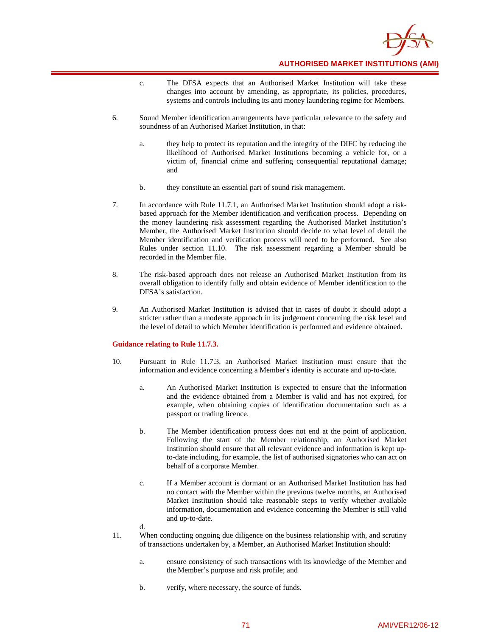

- c. The DFSA expects that an Authorised Market Institution will take these changes into account by amending, as appropriate, its policies, procedures, systems and controls including its anti money laundering regime for Members.
- 6. Sound Member identification arrangements have particular relevance to the safety and soundness of an Authorised Market Institution, in that:
	- a. they help to protect its reputation and the integrity of the DIFC by reducing the likelihood of Authorised Market Institutions becoming a vehicle for, or a victim of, financial crime and suffering consequential reputational damage; and
	- b. they constitute an essential part of sound risk management.
- 7. In accordance with Rule 11.7.1, an Authorised Market Institution should adopt a riskbased approach for the Member identification and verification process. Depending on the money laundering risk assessment regarding the Authorised Market Institution's Member, the Authorised Market Institution should decide to what level of detail the Member identification and verification process will need to be performed. See also Rules under section 11.10. The risk assessment regarding a Member should be recorded in the Member file.
- 8. The risk-based approach does not release an Authorised Market Institution from its overall obligation to identify fully and obtain evidence of Member identification to the DFSA's satisfaction.
- 9. An Authorised Market Institution is advised that in cases of doubt it should adopt a stricter rather than a moderate approach in its judgement concerning the risk level and the level of detail to which Member identification is performed and evidence obtained.

### **Guidance relating to Rule 11.7.3.**

d.

- 10. Pursuant to Rule 11.7.3, an Authorised Market Institution must ensure that the information and evidence concerning a Member's identity is accurate and up-to-date.
	- a. An Authorised Market Institution is expected to ensure that the information and the evidence obtained from a Member is valid and has not expired, for example, when obtaining copies of identification documentation such as a passport or trading licence.
	- b. The Member identification process does not end at the point of application. Following the start of the Member relationship, an Authorised Market Institution should ensure that all relevant evidence and information is kept upto-date including, for example, the list of authorised signatories who can act on behalf of a corporate Member.
	- c. If a Member account is dormant or an Authorised Market Institution has had no contact with the Member within the previous twelve months, an Authorised Market Institution should take reasonable steps to verify whether available information, documentation and evidence concerning the Member is still valid and up-to-date.
- 11. When conducting ongoing due diligence on the business relationship with, and scrutiny of transactions undertaken by, a Member, an Authorised Market Institution should:
	- a. ensure consistency of such transactions with its knowledge of the Member and the Member's purpose and risk profile; and
	- b. verify, where necessary, the source of funds.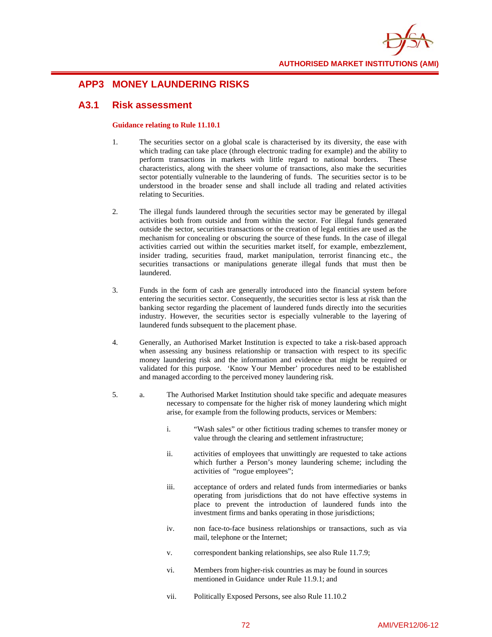

# **APP3 MONEY LAUNDERING RISKS**

# **A3.1 Risk assessment**

### **Guidance relating to Rule 11.10.1**

- 1. The securities sector on a global scale is characterised by its diversity, the ease with which trading can take place (through electronic trading for example) and the ability to perform transactions in markets with little regard to national borders. These characteristics, along with the sheer volume of transactions, also make the securities sector potentially vulnerable to the laundering of funds. The securities sector is to be understood in the broader sense and shall include all trading and related activities relating to Securities.
- 2. The illegal funds laundered through the securities sector may be generated by illegal activities both from outside and from within the sector. For illegal funds generated outside the sector, securities transactions or the creation of legal entities are used as the mechanism for concealing or obscuring the source of these funds. In the case of illegal activities carried out within the securities market itself, for example, embezzlement, insider trading, securities fraud, market manipulation, terrorist financing etc., the securities transactions or manipulations generate illegal funds that must then be laundered.
- 3. Funds in the form of cash are generally introduced into the financial system before entering the securities sector. Consequently, the securities sector is less at risk than the banking sector regarding the placement of laundered funds directly into the securities industry. However, the securities sector is especially vulnerable to the layering of laundered funds subsequent to the placement phase.
- 4. Generally, an Authorised Market Institution is expected to take a risk-based approach when assessing any business relationship or transaction with respect to its specific money laundering risk and the information and evidence that might be required or validated for this purpose. 'Know Your Member' procedures need to be established and managed according to the perceived money laundering risk.
- 5. a. The Authorised Market Institution should take specific and adequate measures necessary to compensate for the higher risk of money laundering which might arise, for example from the following products, services or Members:
	- i. "Wash sales" or other fictitious trading schemes to transfer money or value through the clearing and settlement infrastructure;
	- ii. activities of employees that unwittingly are requested to take actions which further a Person's money laundering scheme; including the activities of "rogue employees";
	- iii. acceptance of orders and related funds from intermediaries or banks operating from jurisdictions that do not have effective systems in place to prevent the introduction of laundered funds into the investment firms and banks operating in those jurisdictions;
	- iv. non face-to-face business relationships or transactions, such as via mail, telephone or the Internet;
	- v. correspondent banking relationships, see also Rule 11.7.9;
	- vi. Members from higher-risk countries as may be found in sources mentioned in Guidance under Rule 11.9.1; and
	- vii. Politically Exposed Persons, see also Rule 11.10.2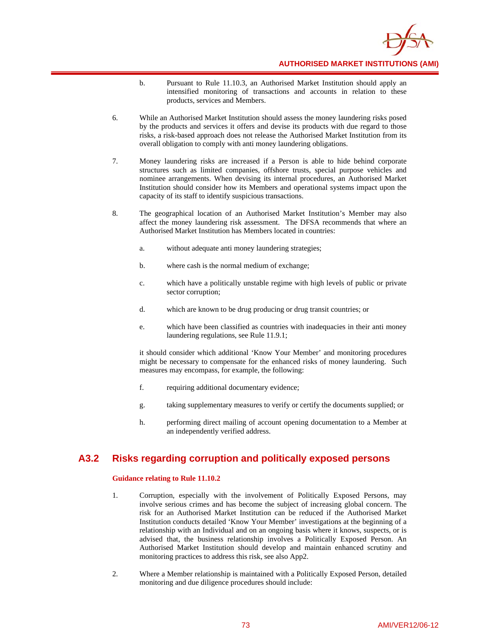

- b. Pursuant to Rule 11.10.3, an Authorised Market Institution should apply an intensified monitoring of transactions and accounts in relation to these products, services and Members.
- 6. While an Authorised Market Institution should assess the money laundering risks posed by the products and services it offers and devise its products with due regard to those risks, a risk-based approach does not release the Authorised Market Institution from its overall obligation to comply with anti money laundering obligations.
- 7. Money laundering risks are increased if a Person is able to hide behind corporate structures such as limited companies, offshore trusts, special purpose vehicles and nominee arrangements. When devising its internal procedures, an Authorised Market Institution should consider how its Members and operational systems impact upon the capacity of its staff to identify suspicious transactions.
- 8. The geographical location of an Authorised Market Institution's Member may also affect the money laundering risk assessment. The DFSA recommends that where an Authorised Market Institution has Members located in countries:
	- a. without adequate anti money laundering strategies;
	- b. where cash is the normal medium of exchange;
	- c. which have a politically unstable regime with high levels of public or private sector corruption;
	- d. which are known to be drug producing or drug transit countries; or
	- e. which have been classified as countries with inadequacies in their anti money laundering regulations, see Rule 11.9.1;

it should consider which additional 'Know Your Member' and monitoring procedures might be necessary to compensate for the enhanced risks of money laundering. Such measures may encompass, for example, the following:

- f. requiring additional documentary evidence;
- g. taking supplementary measures to verify or certify the documents supplied; or
- h. performing direct mailing of account opening documentation to a Member at an independently verified address.

## **A3.2 Risks regarding corruption and politically exposed persons**

### **Guidance relating to Rule 11.10.2**

- 1. Corruption, especially with the involvement of Politically Exposed Persons, may involve serious crimes and has become the subject of increasing global concern. The risk for an Authorised Market Institution can be reduced if the Authorised Market Institution conducts detailed 'Know Your Member' investigations at the beginning of a relationship with an Individual and on an ongoing basis where it knows, suspects, or is advised that, the business relationship involves a Politically Exposed Person. An Authorised Market Institution should develop and maintain enhanced scrutiny and monitoring practices to address this risk, see also App2.
- 2. Where a Member relationship is maintained with a Politically Exposed Person, detailed monitoring and due diligence procedures should include: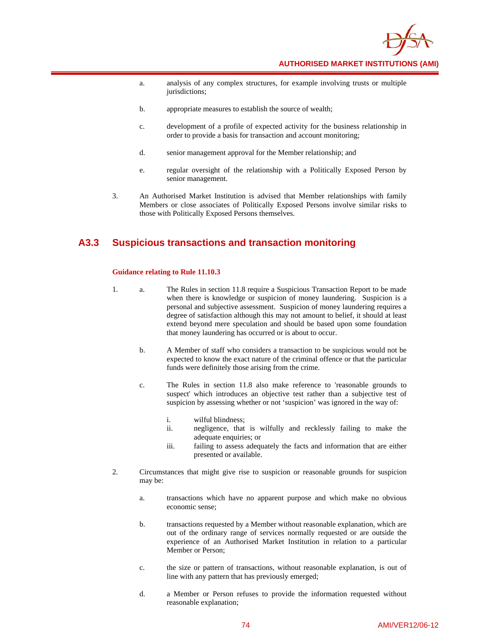

- a. analysis of any complex structures, for example involving trusts or multiple jurisdictions;
- b. appropriate measures to establish the source of wealth;
- c. development of a profile of expected activity for the business relationship in order to provide a basis for transaction and account monitoring;
- d. senior management approval for the Member relationship; and
- e. regular oversight of the relationship with a Politically Exposed Person by senior management.
- 3. An Authorised Market Institution is advised that Member relationships with family Members or close associates of Politically Exposed Persons involve similar risks to those with Politically Exposed Persons themselves.

# **A3.3 Suspicious transactions and transaction monitoring**

#### **Guidance relating to Rule 11.10.3**

- 1. a. The Rules in section 11.8 require a Suspicious Transaction Report to be made when there is knowledge or suspicion of money laundering. Suspicion is a personal and subjective assessment. Suspicion of money laundering requires a degree of satisfaction although this may not amount to belief, it should at least extend beyond mere speculation and should be based upon some foundation that money laundering has occurred or is about to occur.
	- b. A Member of staff who considers a transaction to be suspicious would not be expected to know the exact nature of the criminal offence or that the particular funds were definitely those arising from the crime.
	- c. The Rules in section 11.8 also make reference to 'reasonable grounds to suspect' which introduces an objective test rather than a subjective test of suspicion by assessing whether or not 'suspicion' was ignored in the way of:
		- i. wilful blindness;
		- ii. negligence, that is wilfully and recklessly failing to make the adequate enquiries; or
		- iii. failing to assess adequately the facts and information that are either presented or available.
- 2. Circumstances that might give rise to suspicion or reasonable grounds for suspicion may be:
	- a. transactions which have no apparent purpose and which make no obvious economic sense;
	- b. transactions requested by a Member without reasonable explanation, which are out of the ordinary range of services normally requested or are outside the experience of an Authorised Market Institution in relation to a particular Member or Person;
	- c. the size or pattern of transactions, without reasonable explanation, is out of line with any pattern that has previously emerged;
	- d. a Member or Person refuses to provide the information requested without reasonable explanation;